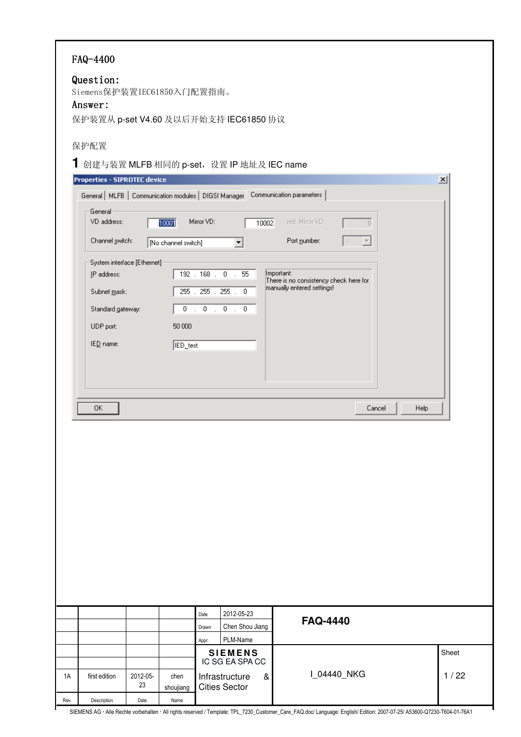|            | FAQ-4400<br>Question:<br>Siemens保护装置IEC61850入门配置指南。<br>Answer:                                             |                        |                             |               | 保护装置从 p-set V4.60 及以后开始支持 IEC61850 协议                                            |                                                                                    |                                           |      |                 |
|------------|------------------------------------------------------------------------------------------------------------|------------------------|-----------------------------|---------------|----------------------------------------------------------------------------------|------------------------------------------------------------------------------------|-------------------------------------------|------|-----------------|
|            | 保护配置<br>Properties - SIPROTEC device<br>General   MLFB   Communication modules   DIGSI Manager             |                        |                             |               | 1 创建与装置 MLFB 相同的 p-set, 设置 IP 地址及 IEC name                                       | Communication parameters                                                           |                                           |      | $\vert x \vert$ |
|            | General<br>VD address:<br>Channel switch:                                                                  |                        | 10001<br>No channel switch] | Mirror VD:    | 10002<br>$\blacktriangledown$                                                    | red. Mirror VD:<br>Port number:                                                    | $\overline{0}$<br>$\overline{\mathbf{v}}$ |      |                 |
|            | System interface [Ethernet]:<br>IP address:<br>Subnet mask:<br>Standard gateway:<br>UDP port:<br>IED name: |                        | 50 000<br><b>IED_test</b>   |               | 192.168.0.55<br>255 . 255 . 255 . 0                                              | Important:<br>There is no consistency check here for<br>manually entered settings! |                                           |      |                 |
|            | 0K                                                                                                         |                        |                             |               |                                                                                  |                                                                                    | Cancel                                    | Help |                 |
|            |                                                                                                            |                        |                             |               |                                                                                  |                                                                                    |                                           |      |                 |
|            |                                                                                                            |                        |                             | Date<br>Drawn | 2012-05-23<br>Chen Shou Jiang<br>PLM-Name                                        | <b>FAQ-4440</b>                                                                    |                                           |      |                 |
| 1A<br>Rev. | first edition<br>Description                                                                               | 2012-05-<br>23<br>Date | chen<br>shoujiang<br>Name   | Appr.         | <b>SIEMENS</b><br>IC SG EA SPA CC<br>Infrastructure<br>&<br><b>Cities Sector</b> |                                                                                    | I_04440_NKG                               |      | Sheet<br>1/22   |

ŀ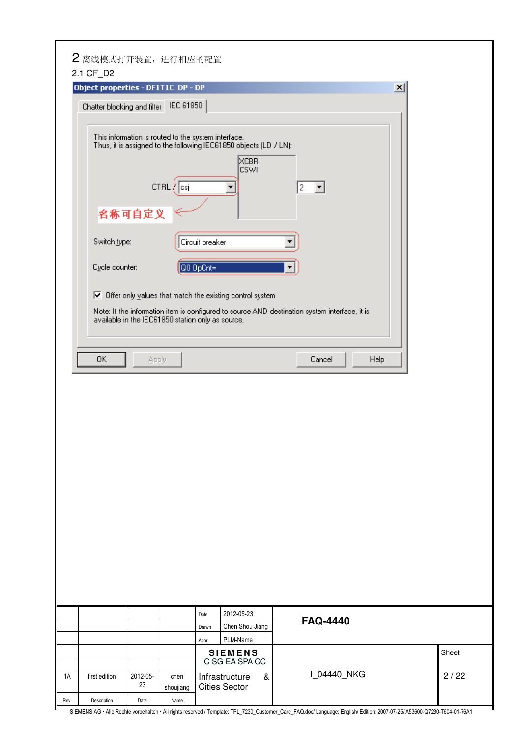| 2.1 CF_D2     | 2 离线模式打开装置,进行相应的配置                                                                              |               |                              |                                                                                                                                                                                   |                                                                                                         |                 |       |
|---------------|-------------------------------------------------------------------------------------------------|---------------|------------------------------|-----------------------------------------------------------------------------------------------------------------------------------------------------------------------------------|---------------------------------------------------------------------------------------------------------|-----------------|-------|
|               | Object properties - DF1T1C DP - DP                                                              |               |                              |                                                                                                                                                                                   |                                                                                                         | $\vert x \vert$ |       |
|               |                                                                                                 |               |                              |                                                                                                                                                                                   |                                                                                                         |                 |       |
|               | Chatter blocking and filter                                                                     | IEC 61850     |                              |                                                                                                                                                                                   |                                                                                                         |                 |       |
|               | This information is routed to the system interface.<br>名称可自定义<br>Switch type:<br>Cycle counter: | $CTRL$ $ cs $ | Circuit breaker<br>Q0 OpCnt= | Thus, it is assigned to the following IEC61850 objects (LD / LN):<br>XCBR<br><b>CSWI</b><br>$\boxed{\blacktriangledown}$ Offer only values that match the existing control system | 2<br>۰<br>Note: If the information item is configured to source AND destination system interface, it is |                 |       |
| 0K            | available in the IEC61850 station only as source.                                               | Apply         |                              |                                                                                                                                                                                   | Help<br>Cancel                                                                                          |                 |       |
|               |                                                                                                 |               |                              |                                                                                                                                                                                   |                                                                                                         |                 |       |
|               |                                                                                                 |               |                              |                                                                                                                                                                                   |                                                                                                         |                 |       |
|               |                                                                                                 |               |                              |                                                                                                                                                                                   |                                                                                                         |                 |       |
|               |                                                                                                 |               |                              |                                                                                                                                                                                   |                                                                                                         |                 |       |
|               |                                                                                                 |               |                              |                                                                                                                                                                                   |                                                                                                         |                 |       |
|               |                                                                                                 |               |                              |                                                                                                                                                                                   |                                                                                                         |                 |       |
|               |                                                                                                 |               | Date                         | 2012-05-23                                                                                                                                                                        | <b>FAQ-4440</b>                                                                                         |                 |       |
|               |                                                                                                 |               | Drawn                        | Chen Shou Jiang                                                                                                                                                                   |                                                                                                         |                 |       |
|               |                                                                                                 |               | Appr.                        | PLM-Name                                                                                                                                                                          |                                                                                                         |                 |       |
|               |                                                                                                 |               |                              | <b>SIEMENS</b><br>IC SG EA SPA CC                                                                                                                                                 |                                                                                                         |                 | Sheet |
| first edition | 2012-05-                                                                                        | chen          |                              | Infrastructure<br>&                                                                                                                                                               | I_04440_NKG                                                                                             |                 | 2/22  |
|               | 23                                                                                              | shoujiang     |                              | <b>Cities Sector</b>                                                                                                                                                              |                                                                                                         |                 |       |
| Description   | Date                                                                                            | Name          |                              |                                                                                                                                                                                   |                                                                                                         |                 |       |

ŀ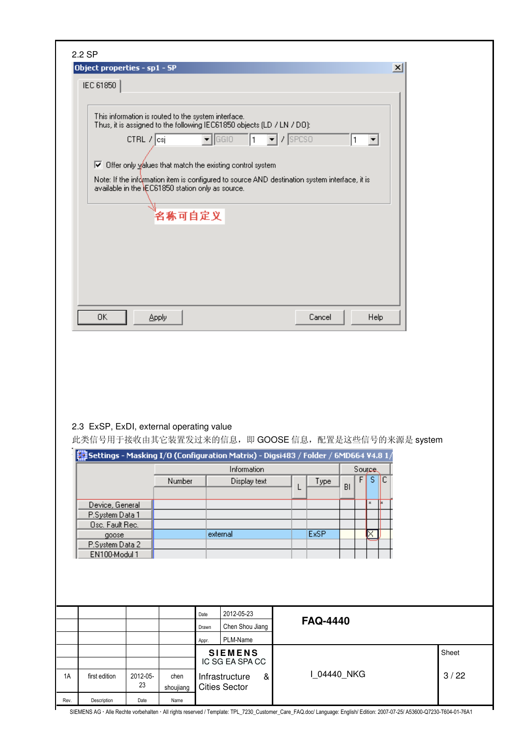|    | 2.2 SP                                                                                                                                                                                                           |          |              |       |                                                                                    |                                     |                   |    |               |   |  |  |       |  |
|----|------------------------------------------------------------------------------------------------------------------------------------------------------------------------------------------------------------------|----------|--------------|-------|------------------------------------------------------------------------------------|-------------------------------------|-------------------|----|---------------|---|--|--|-------|--|
|    | Object properties - sp1 - SP<br>$\mathbf{x}$                                                                                                                                                                     |          |              |       |                                                                                    |                                     |                   |    |               |   |  |  |       |  |
|    | IEC 61850                                                                                                                                                                                                        |          |              |       |                                                                                    |                                     |                   |    |               |   |  |  |       |  |
|    |                                                                                                                                                                                                                  |          |              |       |                                                                                    |                                     |                   |    |               |   |  |  |       |  |
|    | This information is routed to the system interface.<br>Thus, it is assigned to the following IEC61850 objects (LD / LN / DO):                                                                                    |          |              |       |                                                                                    |                                     |                   |    |               |   |  |  |       |  |
|    | $\overline{\phantom{a}}$ GGIO<br>$\blacktriangleright$ / SPCSO<br>1<br>CTRL 7 csj<br>1<br>▼                                                                                                                      |          |              |       |                                                                                    |                                     |                   |    |               |   |  |  |       |  |
|    |                                                                                                                                                                                                                  |          |              |       |                                                                                    |                                     |                   |    |               |   |  |  |       |  |
|    | Ⅳ Offer only you use that match the existing control system<br>Note: If the information item is configured to source AND destination system interface, it is<br>available in the EC61850 station only as source. |          |              |       |                                                                                    |                                     |                   |    |               |   |  |  |       |  |
|    |                                                                                                                                                                                                                  |          |              |       |                                                                                    |                                     |                   |    |               |   |  |  |       |  |
|    |                                                                                                                                                                                                                  |          | 名称可自定义       |       |                                                                                    |                                     |                   |    |               |   |  |  |       |  |
|    |                                                                                                                                                                                                                  |          |              |       |                                                                                    |                                     |                   |    |               |   |  |  |       |  |
|    |                                                                                                                                                                                                                  |          |              |       |                                                                                    |                                     |                   |    |               |   |  |  |       |  |
|    |                                                                                                                                                                                                                  |          |              |       |                                                                                    |                                     |                   |    |               |   |  |  |       |  |
|    |                                                                                                                                                                                                                  |          |              |       |                                                                                    |                                     |                   |    |               |   |  |  |       |  |
|    |                                                                                                                                                                                                                  |          |              |       |                                                                                    |                                     |                   |    |               |   |  |  |       |  |
|    | 0K                                                                                                                                                                                                               |          | <b>Apply</b> |       |                                                                                    |                                     | Cancel            |    | Help          |   |  |  |       |  |
|    |                                                                                                                                                                                                                  |          |              |       |                                                                                    |                                     |                   |    |               |   |  |  |       |  |
|    | 2.3 ExSP, ExDI, external operating value                                                                                                                                                                         |          |              |       | 此类信号用于接收由其它装置发过来的信息, 即 GOOSE 信息, 配置是这些信号的来源是 system                                |                                     |                   |    |               |   |  |  |       |  |
|    |                                                                                                                                                                                                                  |          |              |       | Settings - Masking I/O (Configuration Matrix) - Digsi483 / Folder / 6MD664 V4.8 1/ |                                     |                   |    |               |   |  |  |       |  |
|    |                                                                                                                                                                                                                  |          |              |       | Information                                                                        |                                     |                   |    | <b>Source</b> |   |  |  |       |  |
|    |                                                                                                                                                                                                                  |          | Number       |       | Display text                                                                       |                                     | Type              | BI | $F$ S $C$     |   |  |  |       |  |
|    | Device, General                                                                                                                                                                                                  |          |              |       |                                                                                    |                                     |                   |    | $\bf x$       | k |  |  |       |  |
|    | P.System Data 1                                                                                                                                                                                                  |          |              |       |                                                                                    |                                     |                   |    |               |   |  |  |       |  |
|    | Osc. Fault Rec.                                                                                                                                                                                                  |          |              |       |                                                                                    |                                     |                   |    |               |   |  |  |       |  |
|    | goose<br>P.System Data 2                                                                                                                                                                                         |          |              |       | external                                                                           |                                     | <b>ExSP</b><br>×. |    |               |   |  |  |       |  |
|    | EN100-Modul 1                                                                                                                                                                                                    |          |              |       |                                                                                    |                                     |                   |    |               |   |  |  |       |  |
|    |                                                                                                                                                                                                                  |          |              |       |                                                                                    |                                     |                   |    |               |   |  |  |       |  |
|    |                                                                                                                                                                                                                  |          |              |       |                                                                                    |                                     |                   |    |               |   |  |  |       |  |
|    |                                                                                                                                                                                                                  |          |              |       |                                                                                    |                                     |                   |    |               |   |  |  |       |  |
|    |                                                                                                                                                                                                                  |          |              | Date  | 2012-05-23                                                                         |                                     |                   |    |               |   |  |  |       |  |
|    |                                                                                                                                                                                                                  |          |              | Drawn | Chen Shou Jiang                                                                    |                                     | <b>FAQ-4440</b>   |    |               |   |  |  |       |  |
|    |                                                                                                                                                                                                                  |          |              | Appr. | PLM-Name                                                                           |                                     |                   |    |               |   |  |  |       |  |
|    |                                                                                                                                                                                                                  |          |              |       |                                                                                    |                                     | <b>SIEMENS</b>    |    |               |   |  |  | Sheet |  |
|    |                                                                                                                                                                                                                  |          |              |       |                                                                                    | IC SG EA SPA CC<br>I_04440_NKG<br>& |                   |    |               |   |  |  |       |  |
|    | first edition                                                                                                                                                                                                    | 2012-05- | chen         |       | Infrastructure                                                                     |                                     |                   |    |               |   |  |  | 3/22  |  |
| 1A |                                                                                                                                                                                                                  | 23       | shoujiang    |       | <b>Cities Sector</b>                                                               |                                     |                   |    |               |   |  |  |       |  |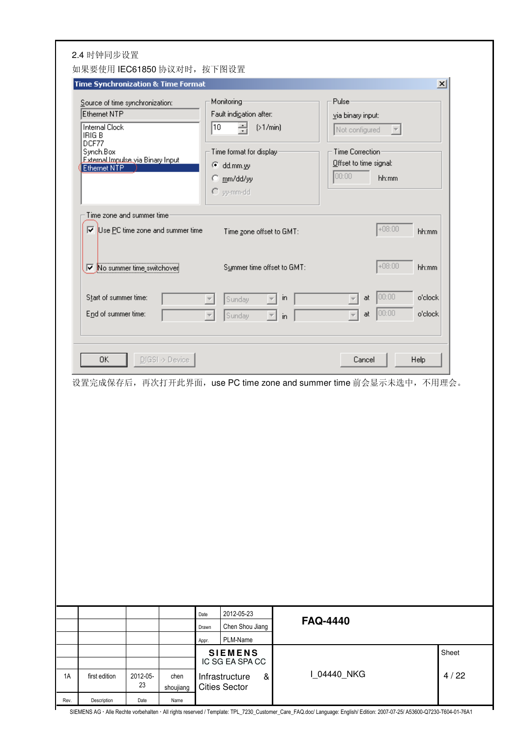| Time Synchronization & Time Format                                                                                                                                    |                                                                                                                                                 | $\vert x \vert$                                                                                              |
|-----------------------------------------------------------------------------------------------------------------------------------------------------------------------|-------------------------------------------------------------------------------------------------------------------------------------------------|--------------------------------------------------------------------------------------------------------------|
| Source of time synchronization:<br>Ethernet NTP<br><b>Internal Clock</b><br>IRIG B<br>DCF77<br>Synch.Box<br><b>External Impulse via Binary Input<br/>Ethernet NTP</b> | Monitoring <sup>®</sup><br>Fault indigation after:<br>10<br>싑<br>(>1/min)<br>Time format for display-<br>C dd.mm.yy<br>C mm/dd/yy<br>C yy-mm-dd | Pulse<br>via binary input:<br>Not configured<br>Time Correction-<br>Offset to time signal:<br>00:00<br>hh:mm |
| Time zone and summer time<br>Ⅳ Use PC time zone and summer time                                                                                                       | Time gone offset to GMT:                                                                                                                        | $+08:00$<br>hh:mm                                                                                            |
| No summer time_switchover                                                                                                                                             | Summer time offset to GMT:                                                                                                                      | $+08:00$<br>hh:mm                                                                                            |
| Start of summer time:<br>End of summer time:                                                                                                                          | in.<br>Sunday<br>$\mathbf{E}$<br>Sunday<br>$\mathsf{in}$                                                                                        | 00:00 <br>o'clock<br>at<br> 00:00 <br>o'clock<br>at                                                          |
| 0K<br>$DIGSI \rightarrow Device$                                                                                                                                      |                                                                                                                                                 | Cancel<br>Help                                                                                               |
|                                                                                                                                                                       |                                                                                                                                                 | 设置完成保存后,再次打开此界面, use PC time zone and summer time 前会显示未选中, 不用理会。                                             |
|                                                                                                                                                                       | 2012-05-23<br>Date<br>Chen Shou Jiang<br>Drawn<br>PLM-Name<br>Appr.                                                                             | <b>FAQ-4440</b>                                                                                              |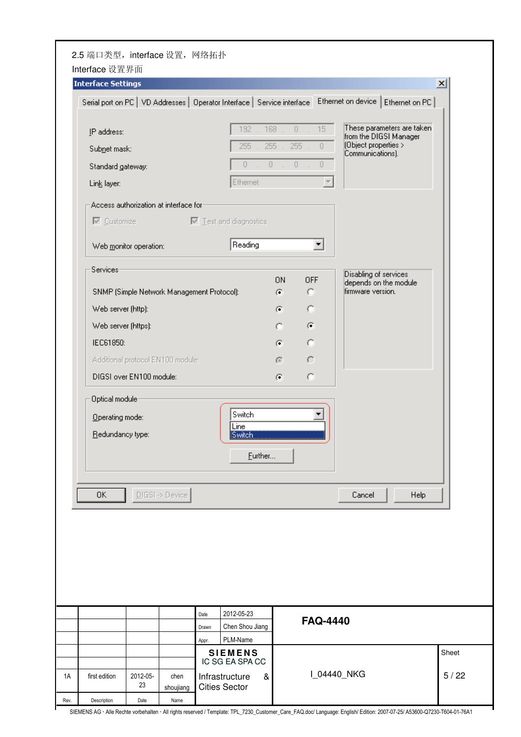|                     | <b>Interface Settings</b>                  |       |                                                                           |                                    |                                           |                                                      | $\vert x \vert$ |
|---------------------|--------------------------------------------|-------|---------------------------------------------------------------------------|------------------------------------|-------------------------------------------|------------------------------------------------------|-----------------|
|                     |                                            |       | Serial port on PC   VD Addresses   Operator Interface   Service interface |                                    |                                           | Ethernet on device   Ethernet on PC                  |                 |
| IP address:         |                                            |       | . 168.<br>192                                                             |                                    | $15 -$<br>$\mathbb O$<br>×.               | These parameters are taken<br>from the DIGSI Manager |                 |
| Subnet mask:        |                                            |       | 255                                                                       | 255                                | 255<br>$\theta$                           | (Object properties ><br>Communications).             |                 |
| Standard gateway:   |                                            |       | 1.011<br>$\overline{0}$                                                   |                                    | $0 -$<br>$\begin{array}{c} 0 \end{array}$ |                                                      |                 |
| Link layer:         |                                            |       | Ethernet                                                                  |                                    |                                           |                                                      |                 |
|                     | Access authorization at interface for      |       |                                                                           |                                    |                                           |                                                      |                 |
|                     |                                            |       | $\boxed{\smile}$ Customize $\boxed{\smile}$ Test and diagnostics          |                                    |                                           |                                                      |                 |
|                     | Web monitor operation:                     |       | Reading                                                                   |                                    | ▼                                         |                                                      |                 |
|                     |                                            |       |                                                                           |                                    |                                           |                                                      |                 |
| Services            |                                            |       |                                                                           | <b>ON</b>                          | <b>OFF</b>                                | Disabling of services<br>depends on the module       |                 |
|                     | SNMP (Simple Network Management Protocol): |       |                                                                           | $\left( \widehat{\bullet }\right)$ | o                                         | firmware version.                                    |                 |
| Web server (http):  |                                            |       |                                                                           | G                                  | $\circ$                                   |                                                      |                 |
| Web server (https): |                                            |       |                                                                           | o                                  | $\left( \mathbf{r}\right)$                |                                                      |                 |
| IEC61850:           |                                            |       |                                                                           | G.                                 | $\circ$                                   |                                                      |                 |
|                     | Additional protocol EN100 module:          |       |                                                                           | G                                  | $\subset$                                 |                                                      |                 |
|                     | DIGSI over EN100 module:                   |       |                                                                           | G)                                 | O                                         |                                                      |                 |
| Optical module-     |                                            |       |                                                                           |                                    |                                           |                                                      |                 |
| Operating mode:     |                                            |       | Switch                                                                    |                                    |                                           |                                                      |                 |
| Redundancy type:    |                                            |       | Line<br><b>Switch</b>                                                     |                                    |                                           |                                                      |                 |
|                     |                                            |       | Eurther                                                                   |                                    |                                           |                                                      |                 |
|                     |                                            |       |                                                                           |                                    |                                           |                                                      |                 |
| 0K                  | $D[GS]$ > Device                           |       |                                                                           |                                    |                                           | Cancel                                               | Help            |
|                     |                                            |       |                                                                           |                                    |                                           |                                                      |                 |
|                     |                                            |       |                                                                           |                                    |                                           |                                                      |                 |
|                     |                                            |       |                                                                           |                                    |                                           |                                                      |                 |
|                     |                                            |       |                                                                           |                                    |                                           |                                                      |                 |
|                     |                                            |       |                                                                           |                                    |                                           |                                                      |                 |
|                     |                                            |       |                                                                           |                                    |                                           |                                                      |                 |
|                     |                                            | Date  | 2012-05-23                                                                |                                    | <b>FAQ-4440</b>                           |                                                      |                 |
|                     |                                            | Drawn | Chen Shou Jiang                                                           |                                    |                                           |                                                      |                 |
|                     |                                            |       |                                                                           |                                    |                                           |                                                      |                 |
|                     |                                            | Appr. | PLM-Name<br><b>SIEMENS</b><br>IC SG EA SPA CC                             |                                    |                                           |                                                      | Sheet           |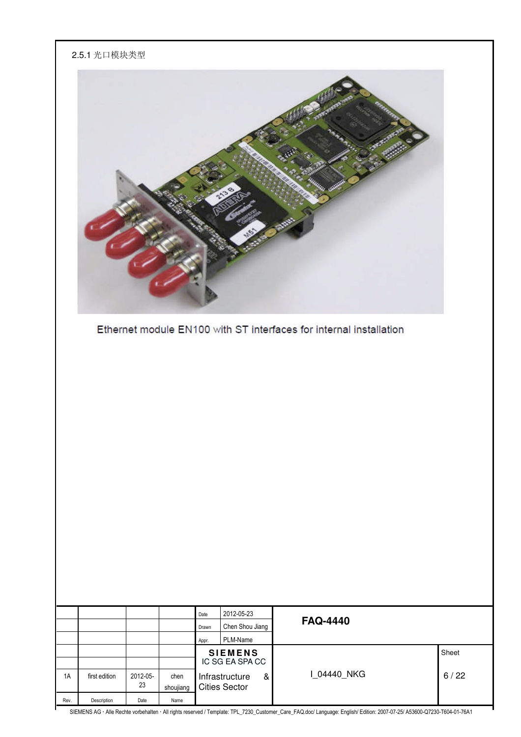|      | 2.5.1 光口模块类型                                                       |                |                   |               |                                                                 |                 |       |  |  |
|------|--------------------------------------------------------------------|----------------|-------------------|---------------|-----------------------------------------------------------------|-----------------|-------|--|--|
|      | Ethernet module EN100 with ST interfaces for internal installation |                |                   |               |                                                                 |                 |       |  |  |
|      |                                                                    |                |                   |               |                                                                 |                 |       |  |  |
|      |                                                                    |                |                   |               |                                                                 |                 |       |  |  |
|      |                                                                    |                |                   |               |                                                                 |                 |       |  |  |
|      |                                                                    |                |                   |               |                                                                 |                 |       |  |  |
|      |                                                                    |                |                   |               |                                                                 |                 |       |  |  |
|      |                                                                    |                |                   |               |                                                                 |                 |       |  |  |
|      |                                                                    |                |                   |               |                                                                 |                 |       |  |  |
|      |                                                                    |                |                   |               |                                                                 |                 |       |  |  |
|      |                                                                    |                |                   |               |                                                                 |                 |       |  |  |
|      |                                                                    |                |                   | Date<br>Drawn | 2012-05-23<br>Chen Shou Jiang                                   | <b>FAQ-4440</b> |       |  |  |
|      |                                                                    |                |                   | Appr.         | PLM-Name                                                        |                 |       |  |  |
|      |                                                                    |                |                   |               | <b>SIEMENS</b><br>IC SG EA SPA CC                               |                 | Sheet |  |  |
| 1A   | first edition                                                      | 2012-05-<br>23 | chen<br>shoujiang |               | Infrastructure<br>$\boldsymbol{\alpha}$<br><b>Cities Sector</b> | I_04440_NKG     | 6/22  |  |  |
| Rev. | Description                                                        | Date           | Name              |               |                                                                 |                 | 0700  |  |  |

ŀ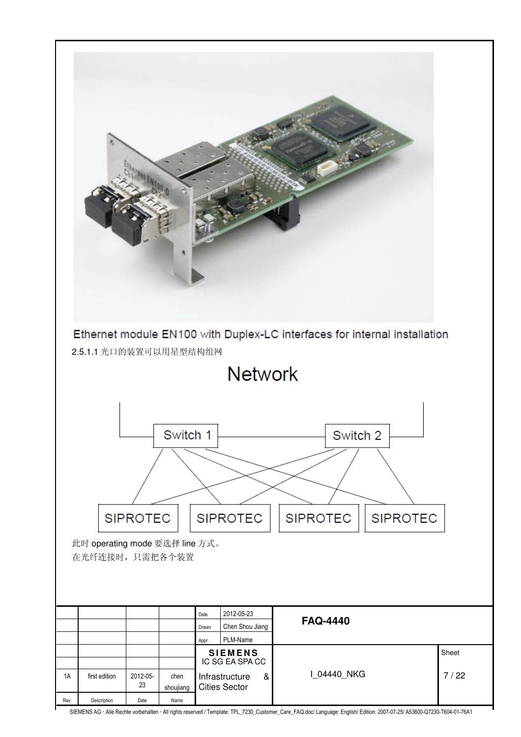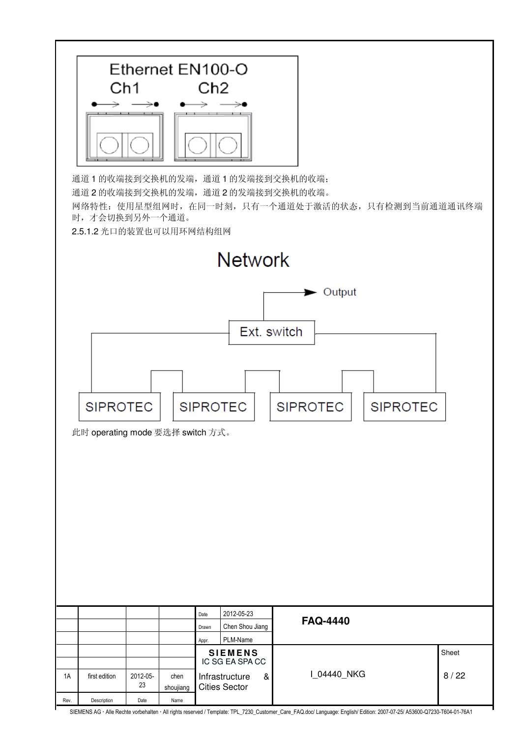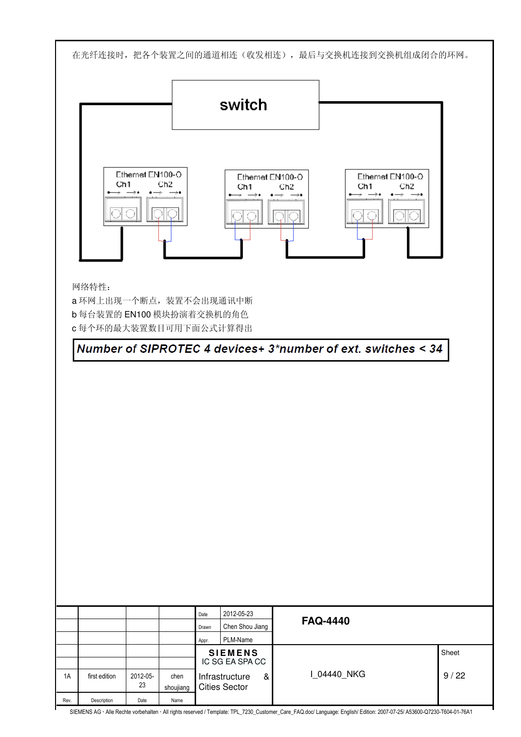在光纤连接时,把各个装置之间的通道相连(收发相连),最后与交换机连接到交换机组成闭合的环网。

|                                                        | switch                                                          |                                                              |
|--------------------------------------------------------|-----------------------------------------------------------------|--------------------------------------------------------------|
| Ethernet EN100-O<br>Ch <sub>2</sub><br>Ch <sub>1</sub> | Ethernet EN100-O<br>Ch <sub>2</sub><br>Ch1<br>$\longrightarrow$ | Ethernet EN100-O<br>Ch <sub>2</sub><br>Ch <sub>1</sub><br>→∙ |

网络特性:

a 环网上出现一个断点,装置不会出现通讯中断 b 每台装置的 EN100 模块扮演着交换机的角色 c 每个环的最大装置数目可用下面公式计算得出

Number of SIPROTEC 4 devices+ 3\*number of ext. switches < 34

| 2012-05-23<br>Date<br><b>FAQ-4440</b><br>Chen Shou Jiang<br>Drawn<br>PLM-Name<br>Appr.                                              |  |  |                |       |
|-------------------------------------------------------------------------------------------------------------------------------------|--|--|----------------|-------|
|                                                                                                                                     |  |  |                |       |
|                                                                                                                                     |  |  |                |       |
|                                                                                                                                     |  |  |                |       |
|                                                                                                                                     |  |  |                |       |
| IC SG EA SPA CC                                                                                                                     |  |  | <b>SIEMENS</b> | Sheet |
| I_04440_NKG<br>9/22<br>2012-05-<br>Infrastructure<br>1A<br>first edition<br>chen<br>$\&$<br>23<br><b>Cities Sector</b><br>shoujiang |  |  |                |       |
| Description<br>Rev.<br>Date<br>Name                                                                                                 |  |  |                |       |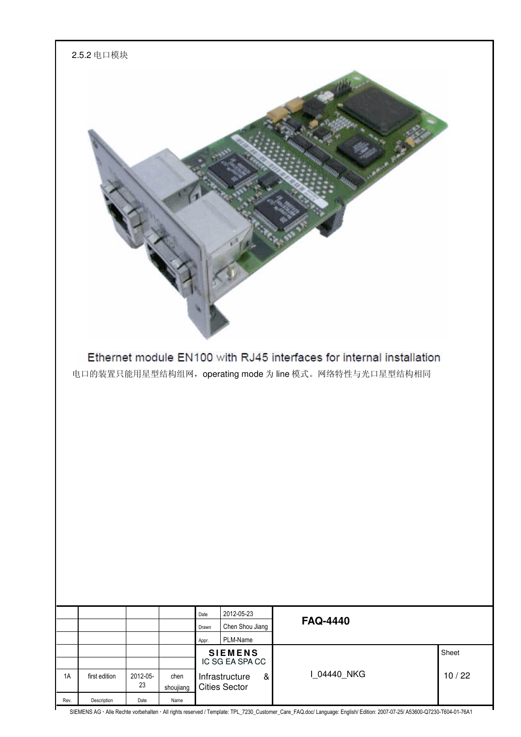|      | 2.5.2 电口模块    |                |                   |                                                |                                                                                                                                |       |
|------|---------------|----------------|-------------------|------------------------------------------------|--------------------------------------------------------------------------------------------------------------------------------|-------|
|      |               |                |                   |                                                | Ethernet module EN100 with RJ45 interfaces for internal installation<br>电口的装置只能用星型结构组网, operating mode 为 line 模式。网络特性与光口星型结构相同 |       |
|      |               |                |                   |                                                |                                                                                                                                |       |
|      |               |                |                   |                                                |                                                                                                                                |       |
|      |               |                |                   |                                                |                                                                                                                                |       |
|      |               |                |                   |                                                |                                                                                                                                |       |
|      |               |                |                   | 2012-05-23<br>Date<br>Chen Shou Jiang<br>Drawn | <b>FAQ-4440</b>                                                                                                                |       |
|      |               |                |                   | PLM-Name<br>Appr.<br><b>SIEMENS</b>            |                                                                                                                                | Sheet |
|      |               |                |                   | IC SG EA SPA CC                                |                                                                                                                                |       |
| 1A   | first edition | 2012-05-<br>23 | chen<br>shoujiang | Infrastructure<br>&<br><b>Cities Sector</b>    | I_04440_NKG                                                                                                                    | 10/22 |
| Rev. | Description   | Date           | Name              |                                                |                                                                                                                                |       |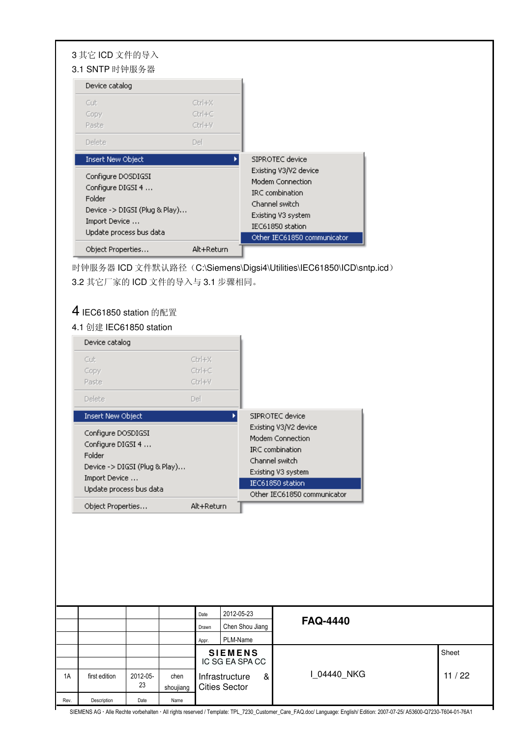| 3 其它 ICD 文件的导入<br>3.1 SNTP 时钟服务器                                                                                               |                            |                                                                                                                                                                |
|--------------------------------------------------------------------------------------------------------------------------------|----------------------------|----------------------------------------------------------------------------------------------------------------------------------------------------------------|
| Device catalog                                                                                                                 |                            |                                                                                                                                                                |
| Cut<br>Copy<br>Paste                                                                                                           | Ctrl+X<br>Ctrl+C<br>Ctrl+V |                                                                                                                                                                |
| <b>Delete</b>                                                                                                                  | Del                        |                                                                                                                                                                |
| <b>Insert New Object</b>                                                                                                       | ٠                          | SIPROTEC device                                                                                                                                                |
| Configure DOSDIGSI<br>Configure DIGSI 4<br>Folder<br>Device -> DIGSI (Plug & Play)<br>Import Device<br>Update process bus data |                            | Existing V3/V2 device<br>Modem Connection<br><b>IRC</b> combination<br>Channel switch<br>Existing V3 system<br>IEC61850 station<br>Other IEC61850 communicator |
| Object Properties                                                                                                              | Alt+Return                 |                                                                                                                                                                |

时钟服务器 ICD 文件默认路径(C:\Siemens\Digsi4\Utilities\IEC61850\ICD\sntp.icd) 3.2 其它厂家的 ICD 文件的导入与 3.1 步骤相同。

### 4 IEC61850 station 的配置

### 4.1 创建 IEC61850 station

| Device catalog                                                                                                                 |                                   |                                                                                                                                                         |
|--------------------------------------------------------------------------------------------------------------------------------|-----------------------------------|---------------------------------------------------------------------------------------------------------------------------------------------------------|
| Cut<br>Copy<br>Paste<br><b>Delete</b>                                                                                          | Ctrl+X<br>Ctrl+C<br>Ctrl+V<br>Del |                                                                                                                                                         |
| <b>Insert New Object</b>                                                                                                       |                                   | SIPROTEC device                                                                                                                                         |
| Configure DOSDIGSI<br>Configure DIGSI 4<br>Folder<br>Device -> DIGSI (Plug & Play)<br>Import Device<br>Update process bus data |                                   | Existing V3/V2 device<br>Modem Connection<br>IRC combination<br>Channel switch<br>Existing V3 system<br>IEC61850 station<br>Other IEC61850 communicator |
| Object Properties                                                                                                              | Alt+Return                        |                                                                                                                                                         |

|      |               |          |           | Date  | 2012-05-23           |   |                 |       |  |  |
|------|---------------|----------|-----------|-------|----------------------|---|-----------------|-------|--|--|
|      |               |          |           | Drawn | Chen Shou Jiang      |   | <b>FAQ-4440</b> |       |  |  |
|      |               |          |           | Appr. | PLM-Name             |   |                 |       |  |  |
|      |               |          |           |       | <b>SIEMENS</b>       |   |                 | Sheet |  |  |
|      |               |          |           |       | IC SG EA SPA CC      |   |                 |       |  |  |
| 1A   | first edition | 2012-05- | chen      |       | Infrastructure       | & | I 04440 NKG     | 11/22 |  |  |
|      |               | 23       | shoujiang |       | <b>Cities Sector</b> |   |                 |       |  |  |
| Rev. | Description   | Date     | Name      |       |                      |   |                 |       |  |  |

SIEMENS AG · Alle Rechte vorbehalten · All rights reserved / Template: TPL\_7230\_Customer\_Care\_FAQ.doc/ Language: English/ Edition: 2007-07-25/ A53600-Q7230-T604-01-76A1

٦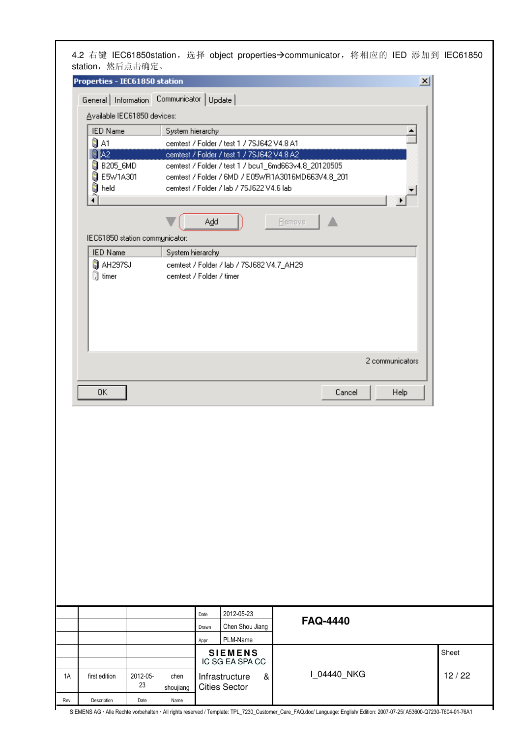| Properties - IEC61850 station  |                                                                                               |        |                 |                 |                 |
|--------------------------------|-----------------------------------------------------------------------------------------------|--------|-----------------|-----------------|-----------------|
|                                |                                                                                               |        |                 |                 | $\vert x \vert$ |
|                                | General Information Communicator   Update                                                     |        |                 |                 |                 |
| Available IEC61850 devices:    |                                                                                               |        |                 |                 |                 |
| <b>IED Name</b>                | System hierarchy                                                                              |        |                 |                 |                 |
| Ñ, A1                          | cemtest / Folder / test 1 / 7SJ642 V4.8 A1                                                    |        |                 |                 |                 |
| RTA2.                          | cemtest / Folder / test 1 / 7SJ642 V4.8 A2                                                    |        |                 |                 |                 |
| <b>B</b> B205_6MD              | cemtest / Folder / test 1 / bcu1_6md663v4.8_20120505                                          |        |                 |                 |                 |
| <b>B</b> E5W1A301<br>Sal held  | cemtest / Folder / 6MD / E05WR1A3016MD663V4.8_201<br>cemtest / Folder / lab / 7SJ622 V4.6 lab |        |                 |                 |                 |
|                                |                                                                                               |        |                 |                 |                 |
|                                |                                                                                               |        |                 |                 |                 |
|                                | Add                                                                                           | Bemove |                 |                 |                 |
| IEC61850 station communicator: |                                                                                               |        |                 |                 |                 |
| <b>IED Name</b>                | System hierarchy                                                                              |        |                 |                 |                 |
| AH297SJ                        | cemtest / Folder / lab / 7SJ682 V4.7_AH29                                                     |        |                 |                 |                 |
| ③ timer                        | cemtest / Folder / timer                                                                      |        |                 |                 |                 |
|                                |                                                                                               |        |                 |                 |                 |
|                                |                                                                                               |        |                 | 2 communicators |                 |
|                                |                                                                                               |        |                 |                 |                 |
| 0K                             |                                                                                               |        | Cancel          | Help            |                 |
|                                |                                                                                               |        |                 |                 |                 |
|                                | 2012-05-23<br>Date<br>Chen Shou Jiang<br>Drawn                                                |        | <b>FAQ-4440</b> |                 |                 |
|                                |                                                                                               |        |                 |                 |                 |
|                                | PLM-Name<br>Appr.                                                                             |        |                 |                 |                 |

|      |               |                |                   | <b>SIEMENS</b><br>IC SG EA SPA CC      |   |            | Sheet |
|------|---------------|----------------|-------------------|----------------------------------------|---|------------|-------|
| 1A   | first edition | 2012-05-<br>23 | chen<br>shouijang | Infrastructure<br><b>Cities Sector</b> | & | 104440 NKG | 12/22 |
| Rev. | Description   | Date           | Name              |                                        |   |            |       |

Г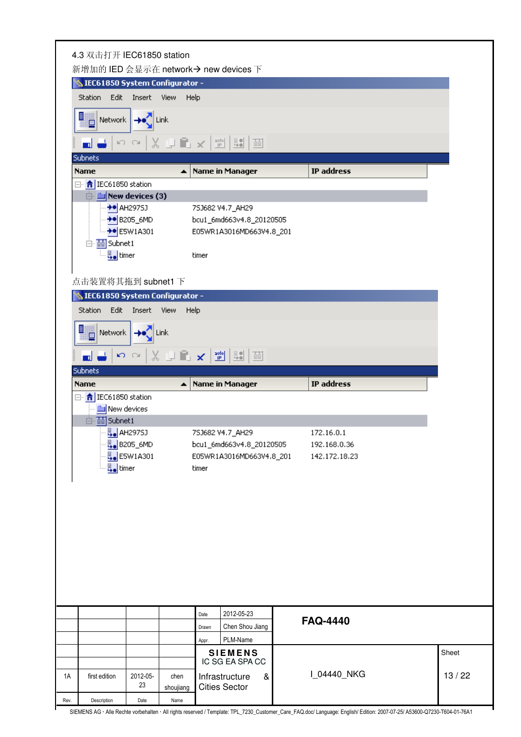| 4.3 双击打开 IEC61850 station           |                                   |                   | 新增加的 IED 会显示在 network→ new devices 下                                                                                                                                                                                                                                                                                                                     |                 |       |  |
|-------------------------------------|-----------------------------------|-------------------|----------------------------------------------------------------------------------------------------------------------------------------------------------------------------------------------------------------------------------------------------------------------------------------------------------------------------------------------------------|-----------------|-------|--|
| SIEC61850 System Configurator -     |                                   |                   |                                                                                                                                                                                                                                                                                                                                                          |                 |       |  |
| Station Edit Insert View            |                                   | Help              |                                                                                                                                                                                                                                                                                                                                                          |                 |       |  |
| Network + I Link                    |                                   |                   |                                                                                                                                                                                                                                                                                                                                                          |                 |       |  |
|                                     |                                   |                   |                                                                                                                                                                                                                                                                                                                                                          |                 |       |  |
| and and                             |                                   |                   | $\begin{picture}(130,10) \put(0,0){\line(1,0){10}} \put(15,0){\line(1,0){10}} \put(15,0){\line(1,0){10}} \put(15,0){\line(1,0){10}} \put(15,0){\line(1,0){10}} \put(15,0){\line(1,0){10}} \put(15,0){\line(1,0){10}} \put(15,0){\line(1,0){10}} \put(15,0){\line(1,0){10}} \put(15,0){\line(1,0){10}} \put(15,0){\line(1,0){10}} \put(15,0){\line($<br>面 |                 |       |  |
| Subnets                             |                                   |                   |                                                                                                                                                                                                                                                                                                                                                          |                 |       |  |
| <b>Name</b><br>日   IEC61850 station |                                   | ▲                 | Name in Manager                                                                                                                                                                                                                                                                                                                                          | IP address      |       |  |
|                                     | $\Box$ New devices (3)            |                   |                                                                                                                                                                                                                                                                                                                                                          |                 |       |  |
|                                     | +• AH297SJ                        |                   | 75J682 V4.7_AH29                                                                                                                                                                                                                                                                                                                                         |                 |       |  |
|                                     | <b>→●</b> B205_6MD                |                   | bcu1_6md663v4.8_20120505                                                                                                                                                                                                                                                                                                                                 |                 |       |  |
|                                     | +• E5W1A301                       |                   | E05WR1A3016MD663V4.8_201                                                                                                                                                                                                                                                                                                                                 |                 |       |  |
| 白· 面 Subnet1                        |                                   |                   |                                                                                                                                                                                                                                                                                                                                                          |                 |       |  |
|                                     | 목 <sub>•</sub> timer              |                   | timer                                                                                                                                                                                                                                                                                                                                                    |                 |       |  |
|                                     |                                   |                   |                                                                                                                                                                                                                                                                                                                                                          |                 |       |  |
| 点击装置将其拖到 subnet1 下                  |                                   |                   |                                                                                                                                                                                                                                                                                                                                                          |                 |       |  |
| SIEC61850 System Configurator -     |                                   |                   |                                                                                                                                                                                                                                                                                                                                                          |                 |       |  |
| Station                             | Edit Insert View                  | Help              |                                                                                                                                                                                                                                                                                                                                                          |                 |       |  |
| 鞴                                   | Network $\rightarrow$             | Link              |                                                                                                                                                                                                                                                                                                                                                          |                 |       |  |
| ÷<br>a b                            |                                   |                   | ~~│※ ⋻▐▚ ★│▓│▓│                                                                                                                                                                                                                                                                                                                                          |                 |       |  |
| <b>Subnets</b>                      |                                   |                   |                                                                                                                                                                                                                                                                                                                                                          |                 |       |  |
|                                     |                                   |                   |                                                                                                                                                                                                                                                                                                                                                          |                 |       |  |
| <b>Name</b>                         |                                   | ۸                 | <b>Name in Manager</b>                                                                                                                                                                                                                                                                                                                                   | IP address      |       |  |
| 日· <mark>令</mark> IEC61850 station  |                                   |                   |                                                                                                                                                                                                                                                                                                                                                          |                 |       |  |
|                                     | New devices                       |                   |                                                                                                                                                                                                                                                                                                                                                          |                 |       |  |
| 白 面 Subnet1                         |                                   |                   | 75J682 V4.7 AH29                                                                                                                                                                                                                                                                                                                                         | 172.16.0.1      |       |  |
|                                     | Д. АН297SJ                        |                   |                                                                                                                                                                                                                                                                                                                                                          | 192.168.0.36    |       |  |
|                                     | La B205_6MD                       |                   | bcu1_6md663v4.8_20120505<br>E05WR1A3016MD663V4.8_201                                                                                                                                                                                                                                                                                                     | 142.172.18.23   |       |  |
|                                     | Lesw1A301<br>목 <sub>•</sub> timer |                   | timer                                                                                                                                                                                                                                                                                                                                                    |                 |       |  |
|                                     |                                   |                   |                                                                                                                                                                                                                                                                                                                                                          |                 |       |  |
|                                     |                                   |                   |                                                                                                                                                                                                                                                                                                                                                          |                 |       |  |
|                                     |                                   |                   |                                                                                                                                                                                                                                                                                                                                                          |                 |       |  |
|                                     |                                   |                   |                                                                                                                                                                                                                                                                                                                                                          |                 |       |  |
|                                     |                                   |                   |                                                                                                                                                                                                                                                                                                                                                          |                 |       |  |
|                                     |                                   |                   |                                                                                                                                                                                                                                                                                                                                                          |                 |       |  |
|                                     |                                   |                   |                                                                                                                                                                                                                                                                                                                                                          |                 |       |  |
|                                     |                                   |                   |                                                                                                                                                                                                                                                                                                                                                          |                 |       |  |
|                                     |                                   |                   |                                                                                                                                                                                                                                                                                                                                                          |                 |       |  |
|                                     |                                   |                   |                                                                                                                                                                                                                                                                                                                                                          |                 |       |  |
|                                     |                                   |                   | 2012-05-23<br>Date                                                                                                                                                                                                                                                                                                                                       |                 |       |  |
|                                     |                                   |                   | Chen Shou Jiang<br>Drawn                                                                                                                                                                                                                                                                                                                                 | <b>FAQ-4440</b> |       |  |
|                                     |                                   |                   | PLM-Name<br>Appr.                                                                                                                                                                                                                                                                                                                                        |                 |       |  |
|                                     |                                   |                   | <b>SIEMENS</b>                                                                                                                                                                                                                                                                                                                                           |                 | Sheet |  |
|                                     |                                   |                   | IC SG EA SPA CC                                                                                                                                                                                                                                                                                                                                          |                 |       |  |
| first edition                       | 2012-05-<br>23                    | chen              | Infrastructure<br>&                                                                                                                                                                                                                                                                                                                                      | I_04440_NKG     | 13/22 |  |
| Description                         | Date                              | shoujiang<br>Name | <b>Cities Sector</b>                                                                                                                                                                                                                                                                                                                                     |                 |       |  |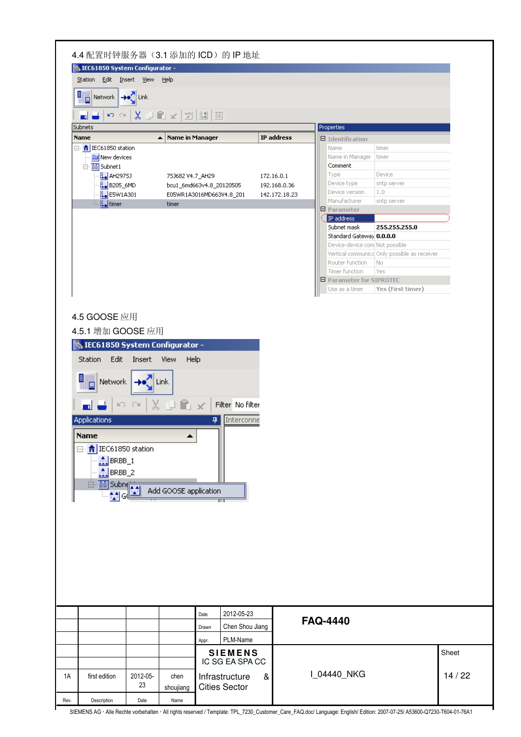|                                                                                                                                                 | Station Edit Insert View<br>Help                                                                                           |                 |                                                            |                                              |       |
|-------------------------------------------------------------------------------------------------------------------------------------------------|----------------------------------------------------------------------------------------------------------------------------|-----------------|------------------------------------------------------------|----------------------------------------------|-------|
| <b>Hetwork</b> →●●●                                                                                                                             |                                                                                                                            |                 |                                                            |                                              |       |
|                                                                                                                                                 |                                                                                                                            |                 |                                                            |                                              |       |
| $\mathfrak{O}^-(\mathfrak{A}^+)$<br>ا اس                                                                                                        | $X \cup \mathbb{R} \times  \mathbb{P} $ 50 $ \mathbb{B} $ 10                                                               |                 |                                                            |                                              |       |
| Subnets                                                                                                                                         |                                                                                                                            |                 | Properties                                                 |                                              |       |
| <b>Name</b>                                                                                                                                     | Name in Manager<br>▲                                                                                                       | IP address      | $\Box$ Identification                                      |                                              |       |
| □ <mark>令</mark> IEC61850 station                                                                                                               |                                                                                                                            |                 | Name                                                       | timer                                        |       |
| New devices<br>白·画 Subnet1                                                                                                                      |                                                                                                                            |                 | Name in Manager<br>Comment                                 | timer                                        |       |
| B. AH297SJ                                                                                                                                      | 75J682 V4.7_AH29                                                                                                           | 172.16.0.1      | Type                                                       | Device                                       |       |
| B <sub>→</sub> B205_6MD                                                                                                                         | bcu1_6md663v4.8_20120505                                                                                                   | 192.168.0.36    | Device type                                                | sntp server                                  |       |
| E <sub>●</sub> E5W1A301                                                                                                                         | E05WR1A3016MD663V4.8_201                                                                                                   | 142.172.18.23   | Device version<br>Manufacturer                             | 1.0                                          |       |
| 목 <sub>•</sub> timer                                                                                                                            | timer                                                                                                                      |                 | 日 Parameter                                                | sntp server                                  |       |
|                                                                                                                                                 |                                                                                                                            |                 | IP address                                                 |                                              |       |
|                                                                                                                                                 |                                                                                                                            |                 | Subnet mask                                                | 255.255.255.0                                |       |
|                                                                                                                                                 |                                                                                                                            |                 | Standard Gateway 0.0.0.0<br>Device-device com Not possible |                                              |       |
|                                                                                                                                                 |                                                                                                                            |                 |                                                            | Vertical communica Only possible as receiver |       |
|                                                                                                                                                 |                                                                                                                            |                 | Router function                                            | No.                                          |       |
|                                                                                                                                                 |                                                                                                                            |                 | Timer function                                             | Yes                                          |       |
|                                                                                                                                                 |                                                                                                                            |                 | 日 Parameter for SIPROTEC<br>Use as a timer                 | Yes (First timer)                            |       |
|                                                                                                                                                 |                                                                                                                            |                 |                                                            |                                              |       |
| Station<br>Edit Insert<br>目#<br>晋<br>  Network   <b>→e</b><br>▄▏                                                                                | SIEC61850 System Configurator -<br><b>View</b><br>Help<br><b>Link</b><br>↜↷⇂⇊⇓┗ડK│<br>Filter No filter<br>Interconne<br>д. |                 |                                                            |                                              |       |
| Applications<br><b>Name</b><br>□ <mark>令</mark> IEC61850 station<br>$\Lambda$ BRBB_1<br>$\Lambda$ BRBB_2<br>面subn <sub>(材</sub><br>$\Box$<br>떼여 | Add GOOSE application                                                                                                      |                 |                                                            |                                              |       |
|                                                                                                                                                 | 2012-05-23<br>Date<br>Drawn                                                                                                | Chen Shou Jiang | <b>FAQ-4440</b>                                            |                                              |       |
|                                                                                                                                                 | PLM-Name<br>Appr.                                                                                                          |                 |                                                            |                                              |       |
|                                                                                                                                                 | <b>SIEMENS</b>                                                                                                             |                 |                                                            |                                              | Sheet |
| 2012-05-<br>first edition                                                                                                                       | IC SG EA SPA CC<br>chen<br>Infrastructure                                                                                  | &               | I_04440_NKG                                                |                                              | 14/22 |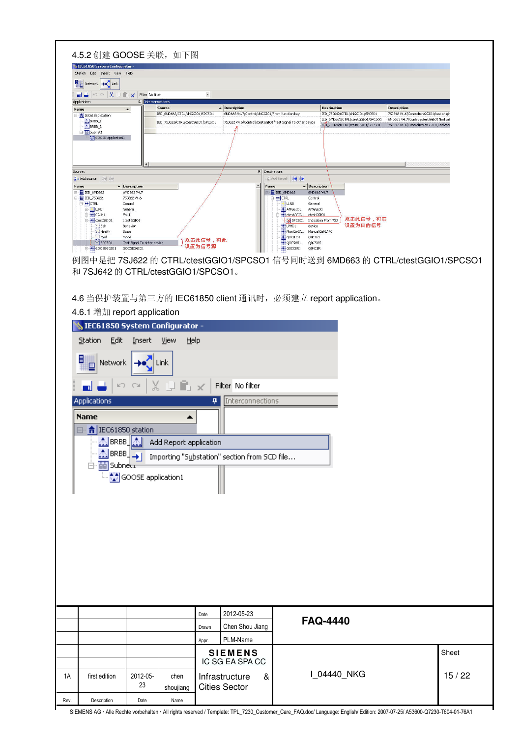|      | 4.5.2 创建 GOOSE 关联, 如下图                                                                                                                                                                                                                                                                                                                                                                                                                                                                                                                                                                                                                                                                                                                                                                             |                                                            |                                                                      |                          |                                                                                                              |                                                                                   |                                                                                                                                                                                                                                            |       |
|------|----------------------------------------------------------------------------------------------------------------------------------------------------------------------------------------------------------------------------------------------------------------------------------------------------------------------------------------------------------------------------------------------------------------------------------------------------------------------------------------------------------------------------------------------------------------------------------------------------------------------------------------------------------------------------------------------------------------------------------------------------------------------------------------------------|------------------------------------------------------------|----------------------------------------------------------------------|--------------------------|--------------------------------------------------------------------------------------------------------------|-----------------------------------------------------------------------------------|--------------------------------------------------------------------------------------------------------------------------------------------------------------------------------------------------------------------------------------------|-------|
|      | SIEC61850 System Configurator<br>Station Edit Insert View                                                                                                                                                                                                                                                                                                                                                                                                                                                                                                                                                                                                                                                                                                                                          | Help                                                       |                                                                      |                          |                                                                                                              |                                                                                   |                                                                                                                                                                                                                                            |       |
|      | <b>B</b> <sub>D</sub> Network $\rightarrow$ <sup>2</sup> Link<br>$\mathbb{R}^n$ $\cong$ $\left \right.\left.\right\langle \right.\left\langle \right.\right.\left\langle \right.\left\langle \right.\left\langle \right.\left\langle \right.\left\langle \right.\left\langle \right.\left\langle \right.\left\langle \right.\left\langle \right.\left\langle \right.\left\langle \right.\left\langle \right.\left\langle \right.\left\langle \right.\left\langle \right.\left\langle \right.\left\langle \right.\left\langle \right.\left\langle \right.\left\langle \right.\left\langle \right.\left\langle \right.\left\langle \right.\left\langle \right.\left\langle \right.\left\langle \right.\left\langle \right.\left\langle \right.\left\langle \right.\left\langle \right.\left\$<br>m c |                                                            |                                                                      | $\overline{\phantom{a}}$ |                                                                                                              |                                                                                   |                                                                                                                                                                                                                                            |       |
|      | Applications<br>Name                                                                                                                                                                                                                                                                                                                                                                                                                                                                                                                                                                                                                                                                                                                                                                               | 4<br>Interconnections<br>$\blacktriangle$                  | <b>Source</b>                                                        |                          | - Description                                                                                                | <b>Destination</b>                                                                | <b>Description</b>                                                                                                                                                                                                                         |       |
|      | 日 <mark>令</mark> IEC61850 station<br>$BRBB_1$<br>$BRBB_2$                                                                                                                                                                                                                                                                                                                                                                                                                                                                                                                                                                                                                                                                                                                                          |                                                            | IED_6MD663/CTRL/shiGGIO1/SPCSO1<br>IED_75J622/CTRL/ctestGGIO1/SPCSO1 |                          | 6MD663 V4.7/Control/shiGGIO1/From function key<br>75J622 V4.6/Control/ctestGGIO1/Test Signal To other device |                                                                                   | IED_75J642/CTRL/shiGGIO1/SPCSO1<br>753642 V4.6/Control/shiGGIO1/test shiqin<br>IED_6MD663/CTRL/ctestGGIO1/SPCSO1<br>6MD663 V4.7/Control/ctestGGIO1/Indicat<br>IED_753642/CTRL/ctestGGIO1/SPCSO1<br>75J642 V4.6/Control/ctestGGIO1/Indicati |       |
|      | B-B Subnet1<br>GOOSE application1                                                                                                                                                                                                                                                                                                                                                                                                                                                                                                                                                                                                                                                                                                                                                                  |                                                            |                                                                      |                          |                                                                                                              |                                                                                   |                                                                                                                                                                                                                                            |       |
|      |                                                                                                                                                                                                                                                                                                                                                                                                                                                                                                                                                                                                                                                                                                                                                                                                    |                                                            |                                                                      |                          |                                                                                                              |                                                                                   |                                                                                                                                                                                                                                            |       |
|      |                                                                                                                                                                                                                                                                                                                                                                                                                                                                                                                                                                                                                                                                                                                                                                                                    |                                                            |                                                                      |                          |                                                                                                              |                                                                                   |                                                                                                                                                                                                                                            |       |
|      | Sources<br>Add source<br>剑钟                                                                                                                                                                                                                                                                                                                                                                                                                                                                                                                                                                                                                                                                                                                                                                        |                                                            |                                                                      |                          | 4 Destinations<br>A                                                                                          | → J Add target   <mark>한 한</mark>                                                 |                                                                                                                                                                                                                                            |       |
|      | Name<br>E IED_6MD663<br>E IED_753622                                                                                                                                                                                                                                                                                                                                                                                                                                                                                                                                                                                                                                                                                                                                                               | $\blacktriangle$ Description<br>6MD663 V4.7<br>753622 V4.6 |                                                                      |                          | Name                                                                                                         | $\blacktriangle$ Description<br>E IED_6MD663<br>6MD663 V4.7<br>D-OCTRL<br>Control |                                                                                                                                                                                                                                            |       |
|      | O CTRL<br>E LLNO<br><b>E-OCALH1</b>                                                                                                                                                                                                                                                                                                                                                                                                                                                                                                                                                                                                                                                                                                                                                                | Control<br>General<br>Fault                                |                                                                      |                          |                                                                                                              | ULNO<br>General<br>AMGGIO1<br>AMGGIO1<br>etestGGIO1 ctestGGIO1                    |                                                                                                                                                                                                                                            |       |
|      | ctestGGIO1<br>Nieh                                                                                                                                                                                                                                                                                                                                                                                                                                                                                                                                                                                                                                                                                                                                                                                 | ctestGGI01<br>Behavior                                     |                                                                      |                          |                                                                                                              | SPCSO1 Indication From 75J<br>$-$ LPHD1<br>device                                 | 双击此信号,将其<br>设置为目的信号                                                                                                                                                                                                                        |       |
|      | Health<br>$\sum$ Mod<br>$\sqrt{SPCSO1}$                                                                                                                                                                                                                                                                                                                                                                                                                                                                                                                                                                                                                                                                                                                                                            | State<br>Mode<br>Test Signal To other device               |                                                                      | 双击此信号,将此                 |                                                                                                              | ManCtrGA ManualCtrlGAPC<br>QOCILO1<br>QOCILO<br>QOCSWI1<br>Q0CSWI                 |                                                                                                                                                                                                                                            |       |
|      | GOOSEGGIO1                                                                                                                                                                                                                                                                                                                                                                                                                                                                                                                                                                                                                                                                                                                                                                                         | GOOSEGGIO1                                                 |                                                                      | 设置为信号源                   |                                                                                                              | Q0XCBR1<br>Q0XCBR                                                                 |                                                                                                                                                                                                                                            |       |
|      | 和 7SJ642 的 CTRL/ctestGGIO1/SPCSO1。                                                                                                                                                                                                                                                                                                                                                                                                                                                                                                                                                                                                                                                                                                                                                                 |                                                            |                                                                      |                          |                                                                                                              |                                                                                   | 例图中是把 7SJ622 的 CTRL/ctestGGIO1/SPCSO1 信号同时送到 6MD663 的 CTRL/ctestGGIO1/SPCSO1                                                                                                                                                               |       |
|      |                                                                                                                                                                                                                                                                                                                                                                                                                                                                                                                                                                                                                                                                                                                                                                                                    |                                                            |                                                                      |                          |                                                                                                              |                                                                                   |                                                                                                                                                                                                                                            |       |
|      |                                                                                                                                                                                                                                                                                                                                                                                                                                                                                                                                                                                                                                                                                                                                                                                                    |                                                            |                                                                      |                          |                                                                                                              | 4.6 当保护装置与第三方的 IEC61850 client 通讯时, 必须建立 report application。                      |                                                                                                                                                                                                                                            |       |
|      | 4.6.1 增加 report application                                                                                                                                                                                                                                                                                                                                                                                                                                                                                                                                                                                                                                                                                                                                                                        |                                                            |                                                                      |                          |                                                                                                              |                                                                                   |                                                                                                                                                                                                                                            |       |
|      | SIEC61850 System Configurator -                                                                                                                                                                                                                                                                                                                                                                                                                                                                                                                                                                                                                                                                                                                                                                    |                                                            |                                                                      |                          |                                                                                                              |                                                                                   |                                                                                                                                                                                                                                            |       |
|      | Edit<br>Station                                                                                                                                                                                                                                                                                                                                                                                                                                                                                                                                                                                                                                                                                                                                                                                    | Insert                                                     | Help<br><b>View</b>                                                  |                          |                                                                                                              |                                                                                   |                                                                                                                                                                                                                                            |       |
|      |                                                                                                                                                                                                                                                                                                                                                                                                                                                                                                                                                                                                                                                                                                                                                                                                    |                                                            |                                                                      |                          |                                                                                                              |                                                                                   |                                                                                                                                                                                                                                            |       |
|      | 目<br>Network                                                                                                                                                                                                                                                                                                                                                                                                                                                                                                                                                                                                                                                                                                                                                                                       |                                                            | Link                                                                 |                          |                                                                                                              |                                                                                   |                                                                                                                                                                                                                                            |       |
|      | K)                                                                                                                                                                                                                                                                                                                                                                                                                                                                                                                                                                                                                                                                                                                                                                                                 |                                                            | X DE x                                                               |                          | Filter No filter                                                                                             |                                                                                   |                                                                                                                                                                                                                                            |       |
|      | Applications                                                                                                                                                                                                                                                                                                                                                                                                                                                                                                                                                                                                                                                                                                                                                                                       |                                                            |                                                                      | 4                        | Interconnections                                                                                             |                                                                                   |                                                                                                                                                                                                                                            |       |
|      | Name                                                                                                                                                                                                                                                                                                                                                                                                                                                                                                                                                                                                                                                                                                                                                                                               |                                                            |                                                                      |                          |                                                                                                              |                                                                                   |                                                                                                                                                                                                                                            |       |
|      | ← IEC61850 station<br>⊟-∙                                                                                                                                                                                                                                                                                                                                                                                                                                                                                                                                                                                                                                                                                                                                                                          |                                                            | ٠                                                                    |                          |                                                                                                              |                                                                                   |                                                                                                                                                                                                                                            |       |
|      | BRBB                                                                                                                                                                                                                                                                                                                                                                                                                                                                                                                                                                                                                                                                                                                                                                                               |                                                            | Add Report application                                               |                          |                                                                                                              |                                                                                   |                                                                                                                                                                                                                                            |       |
|      | BRBB                                                                                                                                                                                                                                                                                                                                                                                                                                                                                                                                                                                                                                                                                                                                                                                               |                                                            |                                                                      |                          | Importing "Substation" section from SCD file                                                                 |                                                                                   |                                                                                                                                                                                                                                            |       |
|      | $\Box$<br>Subnet                                                                                                                                                                                                                                                                                                                                                                                                                                                                                                                                                                                                                                                                                                                                                                                   |                                                            |                                                                      |                          |                                                                                                              |                                                                                   |                                                                                                                                                                                                                                            |       |
|      |                                                                                                                                                                                                                                                                                                                                                                                                                                                                                                                                                                                                                                                                                                                                                                                                    | <mark>♦ GOOSE application1</mark>                          |                                                                      |                          |                                                                                                              |                                                                                   |                                                                                                                                                                                                                                            |       |
|      |                                                                                                                                                                                                                                                                                                                                                                                                                                                                                                                                                                                                                                                                                                                                                                                                    |                                                            |                                                                      |                          |                                                                                                              |                                                                                   |                                                                                                                                                                                                                                            |       |
|      |                                                                                                                                                                                                                                                                                                                                                                                                                                                                                                                                                                                                                                                                                                                                                                                                    |                                                            |                                                                      |                          |                                                                                                              |                                                                                   |                                                                                                                                                                                                                                            |       |
|      |                                                                                                                                                                                                                                                                                                                                                                                                                                                                                                                                                                                                                                                                                                                                                                                                    |                                                            |                                                                      |                          |                                                                                                              |                                                                                   |                                                                                                                                                                                                                                            |       |
|      |                                                                                                                                                                                                                                                                                                                                                                                                                                                                                                                                                                                                                                                                                                                                                                                                    |                                                            |                                                                      |                          |                                                                                                              |                                                                                   |                                                                                                                                                                                                                                            |       |
|      |                                                                                                                                                                                                                                                                                                                                                                                                                                                                                                                                                                                                                                                                                                                                                                                                    |                                                            |                                                                      |                          |                                                                                                              |                                                                                   |                                                                                                                                                                                                                                            |       |
|      |                                                                                                                                                                                                                                                                                                                                                                                                                                                                                                                                                                                                                                                                                                                                                                                                    |                                                            |                                                                      |                          |                                                                                                              |                                                                                   |                                                                                                                                                                                                                                            |       |
|      |                                                                                                                                                                                                                                                                                                                                                                                                                                                                                                                                                                                                                                                                                                                                                                                                    |                                                            |                                                                      |                          |                                                                                                              |                                                                                   |                                                                                                                                                                                                                                            |       |
|      |                                                                                                                                                                                                                                                                                                                                                                                                                                                                                                                                                                                                                                                                                                                                                                                                    |                                                            |                                                                      |                          |                                                                                                              |                                                                                   |                                                                                                                                                                                                                                            |       |
|      |                                                                                                                                                                                                                                                                                                                                                                                                                                                                                                                                                                                                                                                                                                                                                                                                    |                                                            |                                                                      | Date                     | 2012-05-23                                                                                                   | <b>FAQ-4440</b>                                                                   |                                                                                                                                                                                                                                            |       |
|      |                                                                                                                                                                                                                                                                                                                                                                                                                                                                                                                                                                                                                                                                                                                                                                                                    |                                                            |                                                                      | Drawn                    | Chen Shou Jiang                                                                                              |                                                                                   |                                                                                                                                                                                                                                            |       |
|      |                                                                                                                                                                                                                                                                                                                                                                                                                                                                                                                                                                                                                                                                                                                                                                                                    |                                                            |                                                                      | Appr.                    | PLM-Name                                                                                                     |                                                                                   |                                                                                                                                                                                                                                            |       |
|      |                                                                                                                                                                                                                                                                                                                                                                                                                                                                                                                                                                                                                                                                                                                                                                                                    |                                                            |                                                                      |                          | <b>SIEMENS</b><br>IC SG EA SPA CC                                                                            |                                                                                   |                                                                                                                                                                                                                                            | Sheet |
| 1A   | first edition                                                                                                                                                                                                                                                                                                                                                                                                                                                                                                                                                                                                                                                                                                                                                                                      | 2012-05-                                                   | chen                                                                 |                          | Infrastructure<br>&                                                                                          |                                                                                   | I_04440_NKG                                                                                                                                                                                                                                | 15/22 |
|      |                                                                                                                                                                                                                                                                                                                                                                                                                                                                                                                                                                                                                                                                                                                                                                                                    | 23                                                         | shoujiang                                                            |                          | <b>Cities Sector</b>                                                                                         |                                                                                   |                                                                                                                                                                                                                                            |       |
| Rev. | Description                                                                                                                                                                                                                                                                                                                                                                                                                                                                                                                                                                                                                                                                                                                                                                                        | Date                                                       | Name                                                                 |                          |                                                                                                              |                                                                                   |                                                                                                                                                                                                                                            |       |
|      |                                                                                                                                                                                                                                                                                                                                                                                                                                                                                                                                                                                                                                                                                                                                                                                                    |                                                            |                                                                      |                          |                                                                                                              |                                                                                   |                                                                                                                                                                                                                                            |       |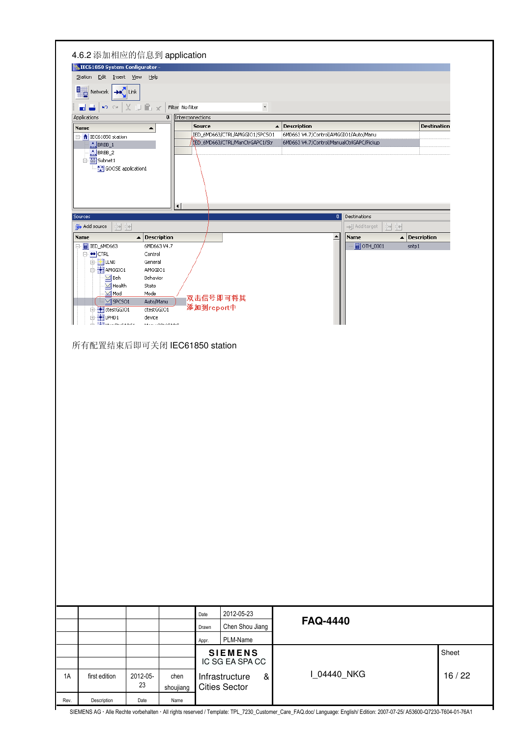| Station Edit Insert View                      | Help                                                        |                           |                                                                  |                          |                                                                                    |                                                 |       |
|-----------------------------------------------|-------------------------------------------------------------|---------------------------|------------------------------------------------------------------|--------------------------|------------------------------------------------------------------------------------|-------------------------------------------------|-------|
| Network + I Link                              |                                                             |                           |                                                                  |                          |                                                                                    |                                                 |       |
| نہ اور                                        | $\mathbf{p} \propto  \times \mathbf{p}  \mathbf{r} \propto$ | Filter No filter          |                                                                  | $\overline{\phantom{0}}$ |                                                                                    |                                                 |       |
| Applications                                  |                                                             | <b>4</b> Interconnections |                                                                  |                          |                                                                                    |                                                 |       |
| Name                                          | $\blacktriangle$                                            |                           | <b>Source</b>                                                    |                          | $\blacktriangle$ Description                                                       | <b>Destination</b>                              |       |
| 日· <mark>令</mark> IEC61850 station<br>ABRBB_1 |                                                             |                           | IED_6MD663/CTRL/AMGGIO1/SPCSO1<br>ED_6MD663/CTRL/ManCtrGAPC1/Str |                          | 6MD663 V4.7/Control/AMGGIO1/Auto/Manu<br>6MD663 V4.7/Control/ManualCtrlGAPC/Pickup |                                                 |       |
| $\frac{1}{2}$ BRBB_2                          |                                                             |                           |                                                                  |                          |                                                                                    |                                                 |       |
| 白 The Subnet1<br>. Mill GOOSE application1    |                                                             |                           |                                                                  |                          |                                                                                    |                                                 |       |
|                                               |                                                             |                           |                                                                  |                          |                                                                                    |                                                 |       |
|                                               |                                                             |                           |                                                                  |                          |                                                                                    |                                                 |       |
|                                               |                                                             | $\left  \cdot \right $    |                                                                  |                          |                                                                                    |                                                 |       |
| Sources                                       |                                                             |                           |                                                                  |                          | <b>Destinations</b>                                                                |                                                 |       |
| Ladd source<br>鱼鱼                             |                                                             |                           |                                                                  |                          | -- jijj Add target<br>鱼鱼<br>$\blacktriangle$                                       |                                                 |       |
| Name<br>F E IED_6MD663                        | $\blacktriangle$ Description                                | 6MD663 V4.7               |                                                                  |                          | Name<br><b>日</b> OTH_0001                                                          | $\blacktriangle$<br><b>Description</b><br>sntp1 |       |
| <b>D</b> on CTRL                              | Control                                                     |                           |                                                                  |                          |                                                                                    |                                                 |       |
| 中 <mark>立</mark> LLNO<br>AMGGIO1              | General<br>AMGGIO1                                          |                           |                                                                  |                          |                                                                                    |                                                 |       |
| $\mathbf{N}$ Beh<br>$\mathbf{M}$ Health       | Behavior<br>State                                           |                           |                                                                  |                          |                                                                                    |                                                 |       |
| $\mathbf{M}$ Mod                              | Mode                                                        |                           | 双击信号即可将其                                                         |                          |                                                                                    |                                                 |       |
| $\Box$ SPCSO1<br>E destGGI01                  | Auto/Manu<br>ctestGGIO1                                     |                           | 添加到report中                                                       |                          |                                                                                    |                                                 |       |
| E-BILPHD1<br>å<br><b>Thursdann</b>            | device                                                      |                           |                                                                  |                          |                                                                                    |                                                 |       |
|                                               |                                                             | Magazine between Amer     |                                                                  |                          |                                                                                    |                                                 |       |
| 所有配置结束后即可关闭 IEC61850 station                  |                                                             |                           |                                                                  |                          |                                                                                    |                                                 |       |
|                                               |                                                             |                           |                                                                  |                          |                                                                                    |                                                 |       |
|                                               |                                                             |                           | 2012-05-23<br>Date<br>Chen Shou Jiang<br>Drawn                   |                          | <b>FAQ-4440</b>                                                                    |                                                 |       |
|                                               |                                                             |                           | PLM-Name<br>Appr.                                                |                          |                                                                                    |                                                 |       |
|                                               |                                                             |                           | <b>SIEMENS</b><br>IC SG EA SPA CC                                |                          |                                                                                    |                                                 | Sheet |
| first edition                                 | 2012-05-                                                    | chen                      | Infrastructure                                                   | &                        | I_04440_NKG                                                                        |                                                 | 16/22 |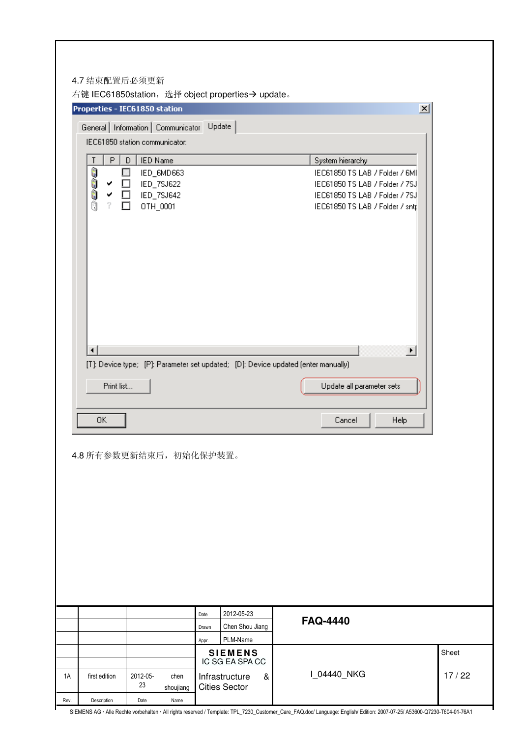| Properties - IEC61850 station           |                      |            |       |                                   | $\vert x \vert$                                                                                             |       |
|-----------------------------------------|----------------------|------------|-------|-----------------------------------|-------------------------------------------------------------------------------------------------------------|-------|
| General Information Communicator Update |                      |            |       |                                   |                                                                                                             |       |
| IEC61850 station communicator:          |                      |            |       |                                   |                                                                                                             |       |
| P                                       | <b>IED Name</b><br>D |            |       |                                   | System hierarchy                                                                                            |       |
|                                         |                      | IED_6MD663 |       |                                   | IEC61850 TS LAB / Folder / 6MI                                                                              |       |
| ✔                                       |                      | IED_7SJ622 |       |                                   | IEC61850 TS LAB / Folder / 7SJ                                                                              |       |
| ✔                                       |                      | IED_7SJ642 |       |                                   | IEC61850 TS LAB / Folder / 7SJ                                                                              |       |
| ?                                       | OTH_0001             |            |       |                                   | IEC61850 TS LAB / Folder / sntp                                                                             |       |
|                                         |                      |            |       |                                   |                                                                                                             |       |
| ◂                                       |                      |            |       |                                   | $\blacktriangleright$<br>[T]: Device type; [P]: Parameter set updated; [D]: Device updated (enter manually) |       |
| Print list                              |                      |            |       |                                   | Update all parameter sets                                                                                   |       |
|                                         |                      |            |       |                                   |                                                                                                             |       |
| 0K                                      |                      |            |       |                                   | Help<br>Cancel                                                                                              |       |
| 4.8 所有参数更新结束后, 初始化保护装置。                 |                      |            |       |                                   |                                                                                                             |       |
|                                         |                      |            |       |                                   |                                                                                                             |       |
|                                         |                      |            | Date  | 2012-05-23                        | <b>FAQ-4440</b>                                                                                             |       |
|                                         |                      |            | Drawn | Chen Shou Jiang                   |                                                                                                             |       |
|                                         |                      |            | Appr. | PLM-Name                          |                                                                                                             |       |
|                                         |                      |            |       | <b>SIEMENS</b><br>IC SG EA SPA CC |                                                                                                             | Sheet |
| first edition                           | 2012-05-             | chen       |       | Infrastructure<br>&               | I_04440_NKG                                                                                                 | 17/22 |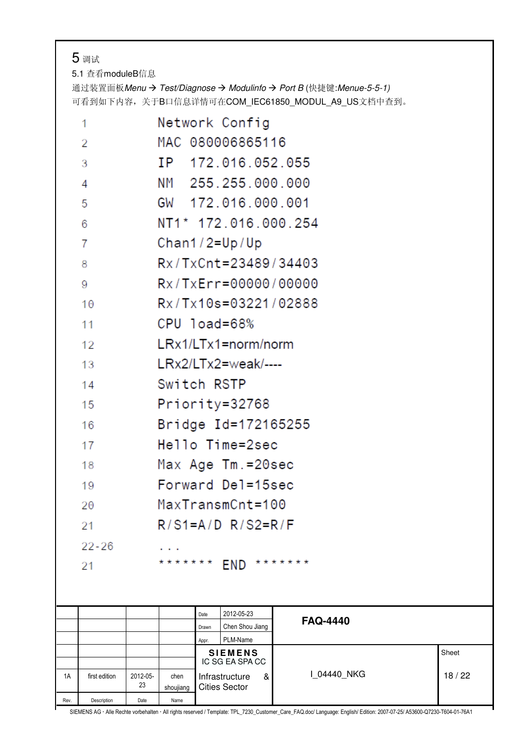### 5 调试

Г

5.1 查看moduleB信息

通过装置面板Menu → Test/Diagnose → Modulinfo → Port B (快捷键:Menue-5-5-1) 可看到如下内容,关于B口信息详情可在COM\_IEC61850\_MODUL\_A9\_US文档中查到。

|      | 1              | Network Config                                                            |       |
|------|----------------|---------------------------------------------------------------------------|-------|
|      | 2              | MAC 080006865116                                                          |       |
|      | 3              | IP 172.016.052.055                                                        |       |
|      | 4              | NM 255.255.000.000                                                        |       |
|      | 5              | GW 172.016.000.001                                                        |       |
|      | 6              | NT1* 172.016.000.254                                                      |       |
|      | $\overline{7}$ | $Chan1/2=Up/Up$                                                           |       |
|      | 8              | $Rx/TxCnt = 23489/34403$                                                  |       |
|      | 9              | Rx/TxErr=00000/00000                                                      |       |
|      | 10             | Rx/Tx10s=03221/02888                                                      |       |
|      | 11             | CPU load=68%                                                              |       |
|      | 12             | LRx1/LTx1=norm/norm                                                       |       |
|      | 13             | $LRx2/LTx2 = weak/---$                                                    |       |
|      | 14             | Switch RSTP                                                               |       |
|      | 15             | Priority=32768                                                            |       |
|      | 16             | Bridge Id=172165255                                                       |       |
|      | 17             | Hello Time=2sec                                                           |       |
|      | 18             | Max Age Tm.=20sec                                                         |       |
|      | 19             | Forward Del=15sec                                                         |       |
|      | 20             | MaxTransmCnt=100                                                          |       |
|      | 21             | $R/S1=A/D R/S2=R/F$                                                       |       |
|      | $22 - 26$      |                                                                           |       |
|      | 21             | * * * * * * *<br>* * * * * * *<br><b>END</b>                              |       |
|      |                |                                                                           |       |
|      |                | 2012-05-23<br>Date                                                        |       |
|      |                | <b>FAQ-4440</b><br>Chen Shou Jiang<br>Drawn                               |       |
|      |                | PLM-Name<br>Appr.<br><b>SIEMENS</b>                                       | Sheet |
| 1A   | first edition  | IC SG EA SPA CC<br>I 04440 NKG<br>2012-05-<br>Infrastructure<br>chen<br>& | 18/22 |
| Rev. | Description    | 23<br><b>Cities Sector</b><br>shoujiang<br>Date<br>Name                   |       |
|      |                |                                                                           |       |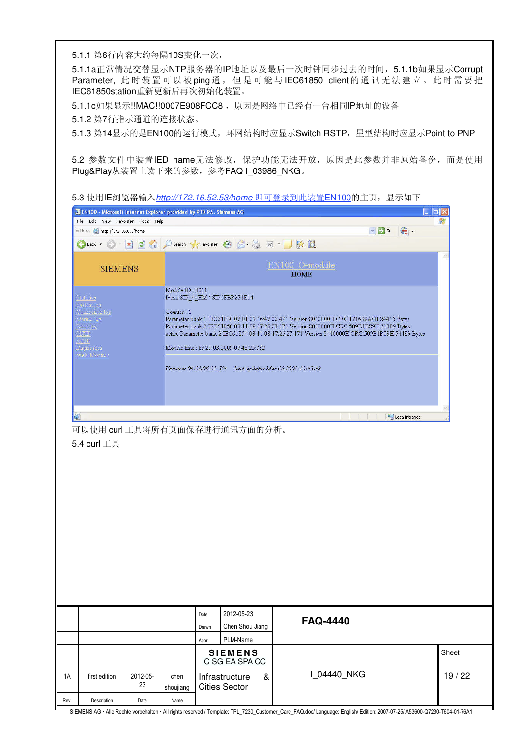5.1.1 第6行内容大约每隔10S变化一次,

5.1.1a正常情况交替显示NTP服务器的IP地址以及最后一次时钟同步过去的时间,5.1.1b如果显示Corrupt Parameter, 此 时 装 置 可 以 被 ping 通 , 但 是 可 能 与 IEC61850 client 的 通 讯 无 法 建 立 。 此 时 需 要 把 IEC61850station重新更新后再次初始化装置。

5.1.1c如果显示!!MAC!!0007E908FCC8, 原因是网络中已经有一台相同IP地址的设备

5.1.2 第7行指示通道的连接状态。

5.1.3 第14显示的是EN100的运行模式,环网结构时应显示Switch RSTP, 星型结构时应显示Point to PNP

5.2 参数文件中装置IED name无法修改, 保护功能无法开放, 原因是此参数并非原始备份, 而是使用 Plug&Play从装置上读下来的参数,参考FAQ I\_03986\_NKG。

5.3 使用IE浏览器输入*http://172.16.52.53/home* 即可登录到此装置EN100的主页, 显示如下

| Address & http://172.16.0.1/home                                                                         |                               |                                          |                                                                                                                                                                                                                                                                                               | $\vee$ $\Rightarrow$ Go |       |
|----------------------------------------------------------------------------------------------------------|-------------------------------|------------------------------------------|-----------------------------------------------------------------------------------------------------------------------------------------------------------------------------------------------------------------------------------------------------------------------------------------------|-------------------------|-------|
| $\mathbf{R}$<br>Back *                                                                                   |                               | <b>2 台 D Search 大 Favorites ① 日 品</b>    | $\blacksquare \cdot \square \triangleright \boxtimes$                                                                                                                                                                                                                                         |                         |       |
| <b>SIEMENS</b>                                                                                           |                               |                                          | EN100 O-module<br><b>HOME</b>                                                                                                                                                                                                                                                                 |                         |       |
| <b>Statistics</b><br>iystem log<br><u> Jonnection log</u><br>tartup log<br>iror log<br><b>NTP</b><br>STP | Module ID: 0011<br>Counter: 1 | Ident SIP_4_HM / SIP0FBB231E14           | Parameter bank 1 IEC61850 07.01.09 16:47:06.421 Version:8010000H CRC:171639A8H 24415 Bytes<br>Parameter bank 2 IEC61850 03:11:08 17:26:27 171 Version:8010000H CRC:509B1B89H 31189 Bytes<br>active Parameter bank 2 IEC61850 03 11.08 17:26:27.171 Version:8010000H CRC:509B1B89H 31189 Bytes |                         |       |
| hagnostics<br>Web-Montor                                                                                 |                               | Module time : Fr 20.03.2009 07:48:25:732 | Version: 04.03.06.01_V4 Last update: Mar 05 2009 10:42:43                                                                                                                                                                                                                                     |                         |       |
|                                                                                                          |                               |                                          |                                                                                                                                                                                                                                                                                               |                         |       |
|                                                                                                          |                               |                                          |                                                                                                                                                                                                                                                                                               | Local intranet          |       |
|                                                                                                          |                               |                                          |                                                                                                                                                                                                                                                                                               |                         |       |
|                                                                                                          |                               |                                          |                                                                                                                                                                                                                                                                                               |                         |       |
|                                                                                                          |                               |                                          |                                                                                                                                                                                                                                                                                               |                         |       |
|                                                                                                          |                               | 2012-05-23<br>Date<br>Drawn              | <b>FAQ-4440</b>                                                                                                                                                                                                                                                                               |                         |       |
|                                                                                                          |                               | Chen Shou Jiang<br>PLM-Name<br>Appr.     |                                                                                                                                                                                                                                                                                               |                         |       |
| 可以使用 curl 工具将所有页面保存进行通讯方面的分析。<br>5.4 curl 工具                                                             |                               | <b>SIEMENS</b><br>IC SG EA SPA CC        |                                                                                                                                                                                                                                                                                               |                         | Sheet |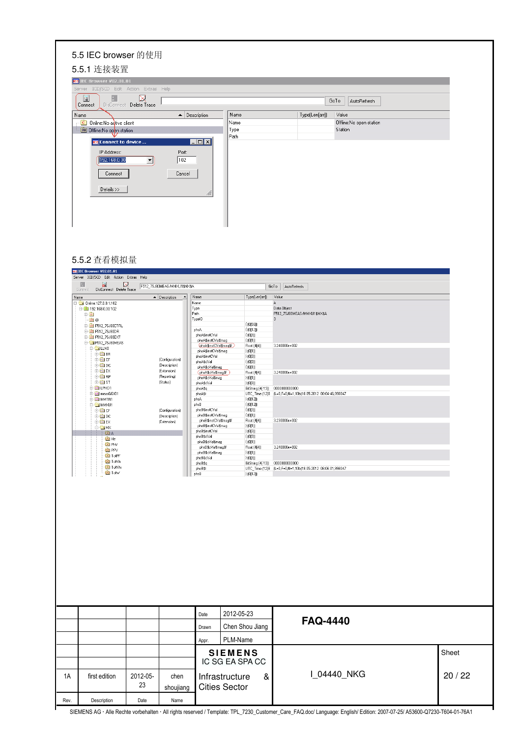| 5.5.1 连接装置                                                   |                                        |      |                |                          |  |
|--------------------------------------------------------------|----------------------------------------|------|----------------|--------------------------|--|
| <b>IEC IEC Browser V02.01.01</b>                             |                                        |      |                |                          |  |
| Server ICD/SCD Edit Action Extras Help                       |                                        |      |                |                          |  |
| $\mathbf{R}$<br>厠<br>⊠<br>DisConnect Delete Trace<br>Connect |                                        |      |                | GoTo<br>AutoRefresh      |  |
| Name                                                         | $\blacktriangle$ Description           | Name | Type(Len[arr]) | Value                    |  |
| <b>C</b> Online:No addive client                             |                                        | Name |                | Offline: No open station |  |
| <b>SN</b> Offline:No open station                            |                                        | Type |                | Station                  |  |
| <b>EG</b> Connect to device                                  | $\blacksquare$ $\blacksquare$ $\times$ | Path |                |                          |  |
| IP Address:                                                  | Port:                                  |      |                |                          |  |
| 192.168.0.30                                                 | 102                                    |      |                |                          |  |
|                                                              |                                        |      |                |                          |  |
| Connect                                                      | Cancel                                 |      |                |                          |  |
|                                                              |                                        |      |                |                          |  |
| Details >>                                                   | M                                      |      |                |                          |  |
|                                                              |                                        |      |                |                          |  |
|                                                              |                                        |      |                |                          |  |

#### 5.5.2 查看模拟量

| $\overline{\mathbf{a}}$<br>⋈<br>F512_7SJ80MEAS/MMXU1\$MX\$A<br>GoTo<br>DisConnect Delete Trace<br>Value<br>$\blacktriangle$ Description<br>$\blacktriangle$<br>Name<br>Type(Len[arr])<br>$\Box$ Online:127.0.0.1:102<br>Name<br>А<br>$\stackrel{\frown}{\Box}$ 192.168.0.30:102<br>Type<br>Path<br>E-M<br>TypeID<br>3<br>ம்⊚<br>(0[56])<br><b>E-LD</b> F512_7SJ80CTRL<br>(0[12])<br>phsA<br><b>ED</b> F512_7SJ80DR<br>phsA\$instCVal<br>(0[3])<br><b>ED</b> F512_7SJ80EXT<br>phsA\$instCVal\$mag<br>(0[1])<br>F512_7SJ80MEAS<br>phsA\$instCVal\$mag\$f<br>Float (4[4])<br><b>⊖ CLLNO</b><br>phsA\$instCVal\$mag<br>(0[1])<br><b>EC BR</b><br>phsA\$instCVal<br>(0[3])<br><b>B</b> CF<br>(Configuration)<br>phsA\$cVal<br>(0[3])<br><b>E-FEIDC</b><br>(Description)<br>(0[1])<br>phsA\$cVal\$mag<br><b>ED</b> EX<br>(Extension)<br>phsA\$cVal\$mag\$f<br>Float (4[4])<br><b>D</b> FC RP<br>(Reporting)<br>(0[1])<br>phsA\$cVal\$mag<br><b>E-FC</b> ST<br>(Status)<br>phsA\$cVal<br>(0[3])<br><b>E-LED</b> LPHD1<br>phsA\$q<br>BitString (4[-13]) 0000000000000<br><b>E</b> measGGI01<br>phsA\$t<br><b>D</b> MMTR1<br>phsA<br>(0[12])<br>phsB<br>(0[12])<br>O MMXU1<br>phsB\$instCVal<br>(0[3])<br><b>E-FC</b> CF<br>(Configuration)<br>phsB\$instCVal\$mag<br>(0[1])<br><b>B</b> DC<br>(Description)<br>phsB\$instCVal\$mag\$f<br>Float (4[4])<br><b>ED</b> EX<br>(Extension)<br>phsB\$instCVal\$mag<br>(0[1])<br><b>DOMX</b><br>phsB\$instCVal<br>(0[3])<br><b>DO</b> A<br>phsB\$cVal<br>(03)<br>DO Hz | AutoRefresh<br>Data Object<br>F512_7SJ80MEAS/MMXU1\$MX\$A<br>3.240000e+002<br>3.240000e+002<br>UTC_Time [12[8   (L=0,F=0,N=1,10b)18.05.2012 08:04:46,998047<br>3.230000e+002 |
|--------------------------------------------------------------------------------------------------------------------------------------------------------------------------------------------------------------------------------------------------------------------------------------------------------------------------------------------------------------------------------------------------------------------------------------------------------------------------------------------------------------------------------------------------------------------------------------------------------------------------------------------------------------------------------------------------------------------------------------------------------------------------------------------------------------------------------------------------------------------------------------------------------------------------------------------------------------------------------------------------------------------------------------------------------------------------------------------------------------------------------------------------------------------------------------------------------------------------------------------------------------------------------------------------------------------------------------------------------------------------------------------------------------------------------------------------------------------------------------------------------|------------------------------------------------------------------------------------------------------------------------------------------------------------------------------|
|                                                                                                                                                                                                                                                                                                                                                                                                                                                                                                                                                                                                                                                                                                                                                                                                                                                                                                                                                                                                                                                                                                                                                                                                                                                                                                                                                                                                                                                                                                        |                                                                                                                                                                              |
|                                                                                                                                                                                                                                                                                                                                                                                                                                                                                                                                                                                                                                                                                                                                                                                                                                                                                                                                                                                                                                                                                                                                                                                                                                                                                                                                                                                                                                                                                                        |                                                                                                                                                                              |
|                                                                                                                                                                                                                                                                                                                                                                                                                                                                                                                                                                                                                                                                                                                                                                                                                                                                                                                                                                                                                                                                                                                                                                                                                                                                                                                                                                                                                                                                                                        |                                                                                                                                                                              |
|                                                                                                                                                                                                                                                                                                                                                                                                                                                                                                                                                                                                                                                                                                                                                                                                                                                                                                                                                                                                                                                                                                                                                                                                                                                                                                                                                                                                                                                                                                        |                                                                                                                                                                              |
|                                                                                                                                                                                                                                                                                                                                                                                                                                                                                                                                                                                                                                                                                                                                                                                                                                                                                                                                                                                                                                                                                                                                                                                                                                                                                                                                                                                                                                                                                                        |                                                                                                                                                                              |
|                                                                                                                                                                                                                                                                                                                                                                                                                                                                                                                                                                                                                                                                                                                                                                                                                                                                                                                                                                                                                                                                                                                                                                                                                                                                                                                                                                                                                                                                                                        |                                                                                                                                                                              |
|                                                                                                                                                                                                                                                                                                                                                                                                                                                                                                                                                                                                                                                                                                                                                                                                                                                                                                                                                                                                                                                                                                                                                                                                                                                                                                                                                                                                                                                                                                        |                                                                                                                                                                              |
|                                                                                                                                                                                                                                                                                                                                                                                                                                                                                                                                                                                                                                                                                                                                                                                                                                                                                                                                                                                                                                                                                                                                                                                                                                                                                                                                                                                                                                                                                                        |                                                                                                                                                                              |
|                                                                                                                                                                                                                                                                                                                                                                                                                                                                                                                                                                                                                                                                                                                                                                                                                                                                                                                                                                                                                                                                                                                                                                                                                                                                                                                                                                                                                                                                                                        |                                                                                                                                                                              |
|                                                                                                                                                                                                                                                                                                                                                                                                                                                                                                                                                                                                                                                                                                                                                                                                                                                                                                                                                                                                                                                                                                                                                                                                                                                                                                                                                                                                                                                                                                        |                                                                                                                                                                              |
|                                                                                                                                                                                                                                                                                                                                                                                                                                                                                                                                                                                                                                                                                                                                                                                                                                                                                                                                                                                                                                                                                                                                                                                                                                                                                                                                                                                                                                                                                                        |                                                                                                                                                                              |
|                                                                                                                                                                                                                                                                                                                                                                                                                                                                                                                                                                                                                                                                                                                                                                                                                                                                                                                                                                                                                                                                                                                                                                                                                                                                                                                                                                                                                                                                                                        |                                                                                                                                                                              |
|                                                                                                                                                                                                                                                                                                                                                                                                                                                                                                                                                                                                                                                                                                                                                                                                                                                                                                                                                                                                                                                                                                                                                                                                                                                                                                                                                                                                                                                                                                        |                                                                                                                                                                              |
|                                                                                                                                                                                                                                                                                                                                                                                                                                                                                                                                                                                                                                                                                                                                                                                                                                                                                                                                                                                                                                                                                                                                                                                                                                                                                                                                                                                                                                                                                                        |                                                                                                                                                                              |
|                                                                                                                                                                                                                                                                                                                                                                                                                                                                                                                                                                                                                                                                                                                                                                                                                                                                                                                                                                                                                                                                                                                                                                                                                                                                                                                                                                                                                                                                                                        |                                                                                                                                                                              |
|                                                                                                                                                                                                                                                                                                                                                                                                                                                                                                                                                                                                                                                                                                                                                                                                                                                                                                                                                                                                                                                                                                                                                                                                                                                                                                                                                                                                                                                                                                        |                                                                                                                                                                              |
|                                                                                                                                                                                                                                                                                                                                                                                                                                                                                                                                                                                                                                                                                                                                                                                                                                                                                                                                                                                                                                                                                                                                                                                                                                                                                                                                                                                                                                                                                                        |                                                                                                                                                                              |
|                                                                                                                                                                                                                                                                                                                                                                                                                                                                                                                                                                                                                                                                                                                                                                                                                                                                                                                                                                                                                                                                                                                                                                                                                                                                                                                                                                                                                                                                                                        |                                                                                                                                                                              |
|                                                                                                                                                                                                                                                                                                                                                                                                                                                                                                                                                                                                                                                                                                                                                                                                                                                                                                                                                                                                                                                                                                                                                                                                                                                                                                                                                                                                                                                                                                        |                                                                                                                                                                              |
|                                                                                                                                                                                                                                                                                                                                                                                                                                                                                                                                                                                                                                                                                                                                                                                                                                                                                                                                                                                                                                                                                                                                                                                                                                                                                                                                                                                                                                                                                                        |                                                                                                                                                                              |
|                                                                                                                                                                                                                                                                                                                                                                                                                                                                                                                                                                                                                                                                                                                                                                                                                                                                                                                                                                                                                                                                                                                                                                                                                                                                                                                                                                                                                                                                                                        |                                                                                                                                                                              |
|                                                                                                                                                                                                                                                                                                                                                                                                                                                                                                                                                                                                                                                                                                                                                                                                                                                                                                                                                                                                                                                                                                                                                                                                                                                                                                                                                                                                                                                                                                        |                                                                                                                                                                              |
|                                                                                                                                                                                                                                                                                                                                                                                                                                                                                                                                                                                                                                                                                                                                                                                                                                                                                                                                                                                                                                                                                                                                                                                                                                                                                                                                                                                                                                                                                                        |                                                                                                                                                                              |
|                                                                                                                                                                                                                                                                                                                                                                                                                                                                                                                                                                                                                                                                                                                                                                                                                                                                                                                                                                                                                                                                                                                                                                                                                                                                                                                                                                                                                                                                                                        |                                                                                                                                                                              |
| phsB\$cVal\$mag<br>(0[1])                                                                                                                                                                                                                                                                                                                                                                                                                                                                                                                                                                                                                                                                                                                                                                                                                                                                                                                                                                                                                                                                                                                                                                                                                                                                                                                                                                                                                                                                              |                                                                                                                                                                              |
| DO PhV<br>phsB\$cVal\$mag\$f<br>Float (4[4])                                                                                                                                                                                                                                                                                                                                                                                                                                                                                                                                                                                                                                                                                                                                                                                                                                                                                                                                                                                                                                                                                                                                                                                                                                                                                                                                                                                                                                                           | 3.240000e+002                                                                                                                                                                |
| <b>DO</b> PPV<br>(0[1])<br>phsB\$cVal\$mag                                                                                                                                                                                                                                                                                                                                                                                                                                                                                                                                                                                                                                                                                                                                                                                                                                                                                                                                                                                                                                                                                                                                                                                                                                                                                                                                                                                                                                                             |                                                                                                                                                                              |
| DO TotPF<br>phsB\$cVal<br>(0[3])<br>DO TotVA                                                                                                                                                                                                                                                                                                                                                                                                                                                                                                                                                                                                                                                                                                                                                                                                                                                                                                                                                                                                                                                                                                                                                                                                                                                                                                                                                                                                                                                           |                                                                                                                                                                              |
| BitString (4[-13]) 0000000000000<br>phsB\$q<br>DO TotVAr                                                                                                                                                                                                                                                                                                                                                                                                                                                                                                                                                                                                                                                                                                                                                                                                                                                                                                                                                                                                                                                                                                                                                                                                                                                                                                                                                                                                                                               |                                                                                                                                                                              |
| phsB\$t<br>DO Totw<br>phsB<br>(0[12])                                                                                                                                                                                                                                                                                                                                                                                                                                                                                                                                                                                                                                                                                                                                                                                                                                                                                                                                                                                                                                                                                                                                                                                                                                                                                                                                                                                                                                                                  | UTC_Time (12[8 (L=0,F=0,N=1,10b)18.05.2012 08:06:01,998047                                                                                                                   |
|                                                                                                                                                                                                                                                                                                                                                                                                                                                                                                                                                                                                                                                                                                                                                                                                                                                                                                                                                                                                                                                                                                                                                                                                                                                                                                                                                                                                                                                                                                        |                                                                                                                                                                              |
| 2012-05-23<br>Date<br>Chen Shou Jiang<br>Drawn                                                                                                                                                                                                                                                                                                                                                                                                                                                                                                                                                                                                                                                                                                                                                                                                                                                                                                                                                                                                                                                                                                                                                                                                                                                                                                                                                                                                                                                         | <b>FAQ-4440</b>                                                                                                                                                              |
|                                                                                                                                                                                                                                                                                                                                                                                                                                                                                                                                                                                                                                                                                                                                                                                                                                                                                                                                                                                                                                                                                                                                                                                                                                                                                                                                                                                                                                                                                                        |                                                                                                                                                                              |
| PLM-Name<br>Appr.                                                                                                                                                                                                                                                                                                                                                                                                                                                                                                                                                                                                                                                                                                                                                                                                                                                                                                                                                                                                                                                                                                                                                                                                                                                                                                                                                                                                                                                                                      | Sheet                                                                                                                                                                        |
| <b>SIEMENS</b><br>IC SG EA SPA CC                                                                                                                                                                                                                                                                                                                                                                                                                                                                                                                                                                                                                                                                                                                                                                                                                                                                                                                                                                                                                                                                                                                                                                                                                                                                                                                                                                                                                                                                      |                                                                                                                                                                              |
|                                                                                                                                                                                                                                                                                                                                                                                                                                                                                                                                                                                                                                                                                                                                                                                                                                                                                                                                                                                                                                                                                                                                                                                                                                                                                                                                                                                                                                                                                                        |                                                                                                                                                                              |
| 2012-05-<br>&<br>Infrastructure<br>first edition<br>chen                                                                                                                                                                                                                                                                                                                                                                                                                                                                                                                                                                                                                                                                                                                                                                                                                                                                                                                                                                                                                                                                                                                                                                                                                                                                                                                                                                                                                                               | I_04440_NKG<br>20/22                                                                                                                                                         |
| 23                                                                                                                                                                                                                                                                                                                                                                                                                                                                                                                                                                                                                                                                                                                                                                                                                                                                                                                                                                                                                                                                                                                                                                                                                                                                                                                                                                                                                                                                                                     |                                                                                                                                                                              |
| <b>Cities Sector</b><br>shoujiang                                                                                                                                                                                                                                                                                                                                                                                                                                                                                                                                                                                                                                                                                                                                                                                                                                                                                                                                                                                                                                                                                                                                                                                                                                                                                                                                                                                                                                                                      |                                                                                                                                                                              |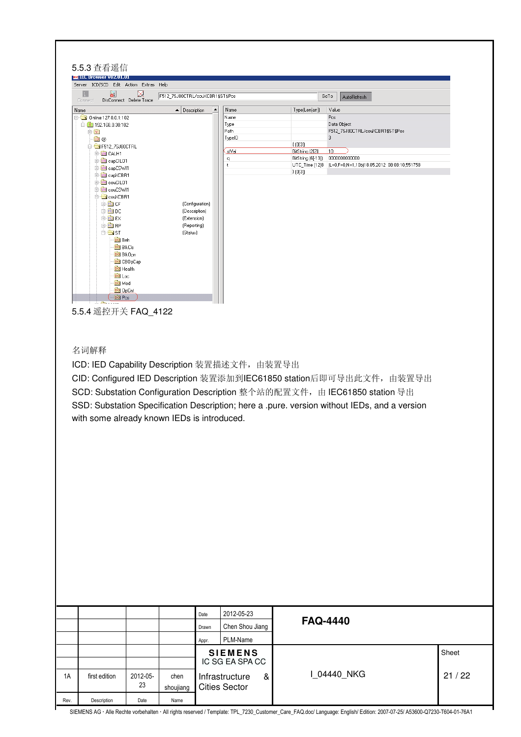| Server ICD/SCD Edit Action Extras Help         |                                      |                                             |       |                                               |                                        |                                                                                                                                                                                                                                                   |       |
|------------------------------------------------|--------------------------------------|---------------------------------------------|-------|-----------------------------------------------|----------------------------------------|---------------------------------------------------------------------------------------------------------------------------------------------------------------------------------------------------------------------------------------------------|-------|
| B.<br>தி                                       | ⊠                                    | F512_7SJ80CTRL/couXCBR1\$ST\$Pos            |       |                                               |                                        | GoTo<br>AutoRefresh                                                                                                                                                                                                                               |       |
| Connect<br>Name                                | DisConnect Delete Trace              | $\blacktriangle$ Description                |       | Name                                          | Type(Len[arr])                         | Value                                                                                                                                                                                                                                             |       |
| □ 0nline:127.0.0.1:102<br>□ 3 192.168.0.30:102 |                                      |                                             |       | Name<br>Type                                  |                                        | Pos<br>Data Object                                                                                                                                                                                                                                |       |
| <b>D</b>                                       |                                      |                                             |       | Path                                          |                                        | F512_7SJ80CTRL/couXCBR1\$ST\$Pos                                                                                                                                                                                                                  |       |
| ம் @<br>E-ST512_7SJ80CTRL                      |                                      |                                             |       | TypeID                                        | (0[3])                                 | 3                                                                                                                                                                                                                                                 |       |
| <b>E Let</b> CALH1                             |                                      |                                             |       | <u>stVal</u><br>q                             | BitString [2[2]]<br>BitString (6[-13]) | 10<br>0000000000000                                                                                                                                                                                                                               |       |
| 中国 capCIL01<br>中国 capCSWI1                     |                                      |                                             |       | $\mathfrak{t}$                                |                                        | UTC_Time (12[8   (L=0,F=0,N=1,10b)18.05.2012 08:08:10,551758                                                                                                                                                                                      |       |
| 中国 capXCBR1<br>由 <b>I</b> n couCIL01           |                                      |                                             |       |                                               | (0[3])                                 |                                                                                                                                                                                                                                                   |       |
| 由 <b>In</b> couCSWI1                           |                                      |                                             |       |                                               |                                        |                                                                                                                                                                                                                                                   |       |
| <b>E</b> couXCBR1<br>由 <b>fo</b> CF            |                                      | (Configuration)                             |       |                                               |                                        |                                                                                                                                                                                                                                                   |       |
| 中 <b>FC</b> DC<br>中 FC EX                      |                                      | (Description)<br>(Extension)                |       |                                               |                                        |                                                                                                                                                                                                                                                   |       |
| 中 <b>的 RP</b>                                  |                                      | (Reporting)                                 |       |                                               |                                        |                                                                                                                                                                                                                                                   |       |
| ≐∙⊜ast<br>DO Beh                               |                                      | (Status)                                    |       |                                               |                                        |                                                                                                                                                                                                                                                   |       |
|                                                | <b>DO</b> BIKCIS<br><b>DO</b> BlkOpn |                                             |       |                                               |                                        |                                                                                                                                                                                                                                                   |       |
|                                                | <b>DO</b> CBO <sub>P</sub> Cap       |                                             |       |                                               |                                        |                                                                                                                                                                                                                                                   |       |
| <b>DO</b> Loc                                  | <b>DO</b> Health                     |                                             |       |                                               |                                        |                                                                                                                                                                                                                                                   |       |
| DO Mod                                         |                                      |                                             |       |                                               |                                        |                                                                                                                                                                                                                                                   |       |
| <b>DO</b> Pos                                  | DO OpCnt                             |                                             |       |                                               |                                        |                                                                                                                                                                                                                                                   |       |
| <u> കാര</u><br>5.5.4 遥控开关 FAQ_4122             |                                      |                                             |       |                                               |                                        |                                                                                                                                                                                                                                                   |       |
|                                                |                                      | with some already known IEDs is introduced. |       | ICD: IED Capability Description 装置描述文件, 由装置导出 |                                        | CID: Configured IED Description 装置添加到IEC61850 station后即可导出此文件, 由装置导出<br>SCD: Substation Configuration Description 整个站的配置文件, 由 IEC61850 station 导出<br>SSD: Substation Specification Description; here a .pure. version without IEDs, and a version |       |
|                                                |                                      |                                             |       |                                               |                                        |                                                                                                                                                                                                                                                   |       |
|                                                |                                      |                                             |       |                                               |                                        |                                                                                                                                                                                                                                                   |       |
|                                                |                                      |                                             |       |                                               |                                        |                                                                                                                                                                                                                                                   |       |
|                                                |                                      |                                             |       |                                               |                                        |                                                                                                                                                                                                                                                   |       |
|                                                |                                      |                                             |       |                                               |                                        |                                                                                                                                                                                                                                                   |       |
|                                                |                                      |                                             |       |                                               |                                        |                                                                                                                                                                                                                                                   |       |
|                                                |                                      |                                             |       |                                               |                                        |                                                                                                                                                                                                                                                   |       |
|                                                |                                      |                                             |       |                                               |                                        |                                                                                                                                                                                                                                                   |       |
|                                                |                                      |                                             |       |                                               |                                        |                                                                                                                                                                                                                                                   |       |
|                                                |                                      |                                             | Date  | 2012-05-23                                    |                                        |                                                                                                                                                                                                                                                   |       |
|                                                |                                      |                                             | Drawn | Chen Shou Jiang                               |                                        | <b>FAQ-4440</b>                                                                                                                                                                                                                                   |       |
| 名词解释                                           |                                      |                                             | Appr. | PLM-Name<br><b>SIEMENS</b>                    |                                        |                                                                                                                                                                                                                                                   | Sheet |

shoujiang

Cities Sector

Rev. Description Date Name